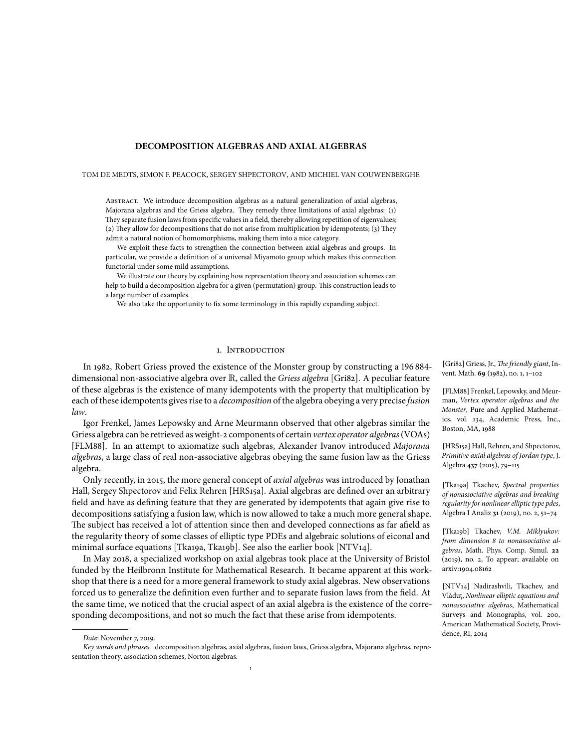# **DECOMPOSITION ALGEBRAS AND AXIAL ALGEBRAS**

#### TOM DE MEDTS, SIMON F. PEACOCK, SERGEY SHPECTOROV, AND MICHIEL VAN COUWENBERGHE

ABSTRACT. We introduce decomposition algebras as a natural generalization of axial algebras, Majorana algebras and the Griess algebra. They remedy three limitations of axial algebras: (1) They separate fusion laws from specific values in a field, thereby allowing repetition of eigenvalues; (2) They allow for decompositions that do not arise from multiplication by idempotents; (3) They admit a natural notion of homomorphisms, making them into a nice category.

We exploit these facts to strengthen the connection between axial algebras and groups. In particular, we provide a definition of a universal Miyamoto group which makes this connection functorial under some mild assumptions.

We illustrate our theory by explaining how representation theory and association schemes can help to build a decomposition algebra for a given (permutation) group. This construction leads to a large number of examples.

We also take the opportunity to fix some terminology in this rapidly expanding subject.

# 1. Introduction

In 1982, Robert Griess proved the existence of the Monster group by constructing a 196 884 dimensional non-associative algebra over R, called the *Griess algebra* [Gri82]. A peculiar feature of these algebras is the existence of many idempotents with the property that multiplication by each of these idempotents gives rise to a *decomposition* of the algebra obeying a very precise *fusion law*.

Igor Frenkel, James Lepowsky and Arne Meurmann observed that other algebras similar the Griess algebra can be retrieved asweight-2 components of certain *vertex operator algebras*(VOAs) [FLM88]. In an attempt to axiomatize such algebras, Alexander Ivanov introduced *Majorana algebras*, a large class of real non-associative algebras obeying the same fusion law as the Griess algebra.

Only recently, in 2015, the more general concept of *axial algebras* was introduced by Jonathan Hall, Sergey Shpectorov and Felix Rehren [HRS15a]. Axial algebras are defined over an arbitrary field and have as defining feature that they are generated by idempotents that again give rise to decompositions satisfying a fusion law, which is now allowed to take a much more general shape. The subject has received a lot of attention since then and developed connections as far afield as the regularity theory of some classes of elliptic type PDEs and algebraic solutions of eiconal and minimal surface equations [Tka19a, Tka19b]. See also the earlier book [NTV14].

In May 2018, a specialized workshop on axial algebras took place at the University of Bristol funded by the Heilbronn Institute for Mathematical Research. It became apparent at this workshop that there is a need for a more general framework to study axial algebras. New observations forced us to generalize the definition even further and to separate fusion laws from the field. At the same time, we noticed that the crucial aspect of an axial algebra is the existence of the corresponding decompositions, and not so much the fact that these arise from idempotents.

[Gri82] Griess, Jr., *The friendly giant*, Invent. Math. **69** (1982), no. 1, 1–102

[FLM88] Frenkel, Lepowsky, and Meurman, *Vertex operator algebras and the Monster*, Pure and Applied Mathematics, vol. 134, Academic Press, Inc., Boston, MA, 1988

[HRS15a] Hall, Rehren, and Shpectorov, *Primitive axial algebras of Jordan type*, J. Algebra **437** (2015), 79–115

[Tka19a] Tkachev, *Spectral properties of nonassociative algebras and breaking regularity for nonlinear elliptictype pdes*, Algebra I Analiz **31** (2019), no. 2, 51–74

[Tka19b] Tkachev, *V.M. Miklyukov: from dimension 8 to nonassociative algebras*, Math. Phys. Comp. Simul. **22** (2019), no. 2, To appear; available on arxiv:1904.08162

[NTV14] Nadirashvili, Tkachev, and Vlăduţ, *Nonlinear elliptic equations and nonassociative algebras*, Mathematical Surveys and Monographs, vol. 200, American Mathematical Society, Providence, RI, 2014

*Date*: November 7, 2019.

*Key words and phrases.* decomposition algebras, axial algebras, fusion laws, Griess algebra, Majorana algebras, representation theory, association schemes, Norton algebras.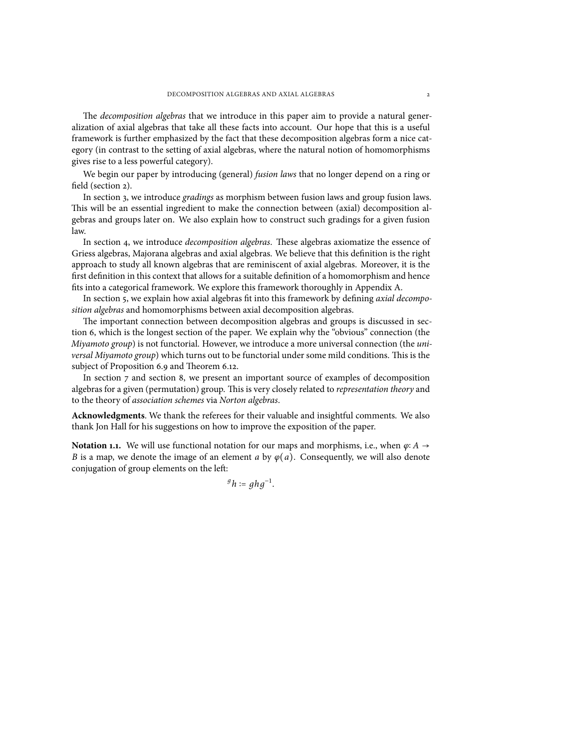The *decomposition algebras* that we introduce in this paper aim to provide a natural generalization of axial algebras that take all these facts into account. Our hope that this is a useful framework is further emphasized by the fact that these decomposition algebras form a nice category (in contrast to the setting of axial algebras, where the natural notion of homomorphisms gives rise to a less powerful category).

We begin our paper by introducing (general) *fusion laws* that no longer depend on a ring or field (section [2](#page-2-0)).

In section [3,](#page-3-0) we introduce *gradings* as morphism between fusion laws and group fusion laws. This will be an essential ingredient to make the connection between (axial) decomposition algebras and groups later on. We also explain how to construct such gradings for a given fusion law.

In section [4](#page-5-0), we introduce *decomposition algebras*. These algebras axiomatize the essence of Griess algebras, Majorana algebras and axial algebras. We believe that this definition is the right approach to study all known algebras that are reminiscent of axial algebras. Moreover, it is the first definition in this context that allows for a suitable definition of a homomorphism and hence fits into a categorical framework. We explore this framework thoroughly in Appendix [A.](#page-17-0)

In section [5,](#page-7-0) we explain how axial algebras fit into this framework by defining *axial decomposition algebras* and homomorphisms between axial decomposition algebras.

The important connection between decomposition algebras and groups is discussed in section [6,](#page-8-0) which is the longest section of the paper. We explain why the "obvious" connection (the *Miyamoto group*) is not functorial. However, we introduce a more universal connection (the *universal Miyamoto group*) which turns out to be functorial under some mild conditions. This is the subject of Proposition [6.9](#page-11-0) and Theorem [6.12](#page-12-0).

In section [7](#page-13-0) and section [8](#page-15-0), we present an important source of examples of decomposition algebras for a given (permutation) group. This is very closely related to *representation theory* and to the theory of *association schemes* via *Norton algebras*.

**Acknowledgments**. We thank the referees for their valuable and insightful comments. We also thank Jon Hall for his suggestions on how to improve the exposition of the paper.

<span id="page-1-0"></span>**Notation 1.1.** We will use functional notation for our maps and morphisms, i.e., when  $\varphi$ : *A* → *B* is a map, we denote the image of an element *a* by  $\varphi$ (*a*). Consequently, we will also denote conjugation of group elements on the left:

 ${}^gh$  :=  $ghg^{-1}$ .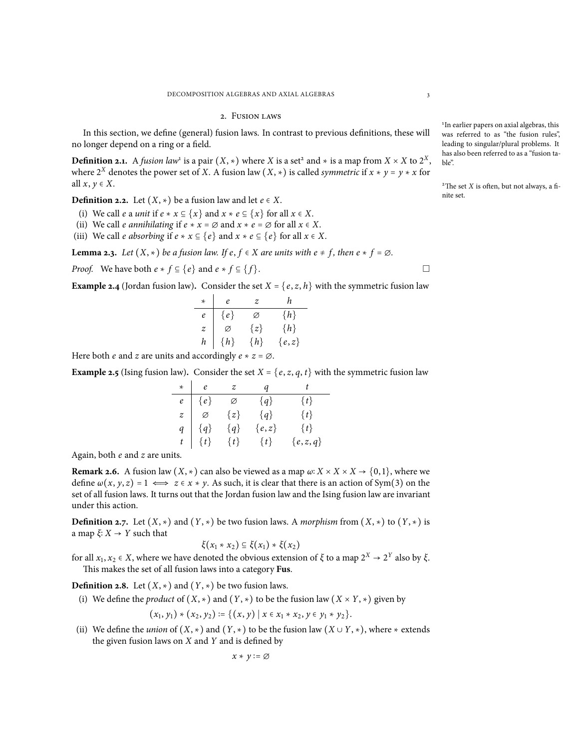#### 2. Fusion laws

<span id="page-2-0"></span>In this section, we define (general) fusion laws. In contrast to previous definitions, these will no longer depend on a ring or a field.

**Definition 2.1.** A *fusion law*<sup>1</sup> is a pair  $(X, *)$  where *X* is a set<sup>2</sup> and  $*$  is a map from  $X \times X$  to  $2^X$ , where  $2^X$  denotes the power set of *X*. A fusion law  $(X, *)$  is called *symmetric* if  $x * y = y * x$  for all  $x, y \in X$ .

<span id="page-2-5"></span>**Definition 2.2.** Let  $(X, *)$  be a fusion law and let  $e ∈ X$ .

- (i) We call *e* a *unit* if  $e * x \subseteq \{x\}$  and  $x * e \subseteq \{x\}$  for all  $x \in X$ .
- (ii) We call *e annihilating* if  $e * x = \emptyset$  and  $x * e = \emptyset$  for all  $x \in X$ .
- (iii) We call *e absorbing* if  $e * x \subseteq \{e\}$  and  $x * e \subseteq \{e\}$  for all  $x \in X$ .

**Lemma 2.3.** Let  $(X, *)$  be a fusion law. If  $e, f \in X$  are *units* with  $e \neq f$ , then  $e * f = \emptyset$ .

*Proof.* We have both  $e * f \subseteq \{e\}$  and  $e * f \subseteq \{f\}$ .

<span id="page-2-3"></span>**Example 2.4** (Jordan fusion law). Consider the set  $X = \{e, z, h\}$  with the symmetric fusion law

|                | e       | z       | h         |
|----------------|---------|---------|-----------|
| e              | $\{e\}$ | Ø       | $\{h\}$   |
| $\overline{z}$ | Ø       | $\{z\}$ | $\{h\}$   |
| h              | $\{h\}$ | $\{h\}$ | $\{e,z\}$ |

Here both *e* and *z* are units and accordingly  $e * z = \emptyset$ .

<span id="page-2-4"></span>**Example 2.5** (Ising fusion law). Consider the set  $X = \{e, z, q, t\}$  with the symmetric fusion law

| $\star$ | $\mathfrak{e}$                      | $\overline{z}$ | q         |             |
|---------|-------------------------------------|----------------|-----------|-------------|
| e       | $\{e\}$                             | Ø              | $\{q\}$   | $\{t\}$     |
|         | $z$ $\varnothing$                   | $\{z\}$        | $\{q\}$   | $\{t\}$     |
| q       | $\{q\}$                             | ${q}$          | $\{e,z\}$ | $\{t\}$     |
|         | $t \begin{pmatrix} t \end{pmatrix}$ | $\{t\}$        | $\{t\}$   | $\{e,z,q\}$ |

Again, both *e* and *z* are units.

**Remark 2.6.** A fusion law  $(X, *)$  can also be viewed as a map  $\omega: X \times X \times X \rightarrow \{0,1\}$ , where we define  $\omega(x, y, z) = 1 \iff z \in x * y$ . As such, it is clear that there is an action of Sym(3) on the set of all fusion laws. It turns out that the Jordan fusion law and the Ising fusion law are invariant under this action.

<span id="page-2-2"></span>**Definition 2.7.** Let  $(X, *)$  and  $(Y, *)$  be two fusion laws. A *morphism* from  $(X, *)$  to  $(Y, *)$  is <sup>a</sup> map *<sup>ξ</sup>*<sup>∶</sup> *<sup>X</sup>* <sup>→</sup> *<sup>Y</sup>* such that

$$
\xi(x_1 * x_2) \subseteq \xi(x_1) * \xi(x_2)
$$

for all *x*<sub>1</sub>, *x*<sub>2</sub> ∈ *X*, where we have denoted the obvious extension of *ξ* to a map  $2^X$  →  $2^Y$  also by *ξ*. This makes the set of all fusion laws into a category **Fus**.

<span id="page-2-1"></span>**Definition 2.8.** Let  $(X, *)$  and  $(Y, *)$  be two fusion laws.

(i) We define the *product* of  $(X, *)$  and  $(Y, *)$  to be the fusion law  $(X \times Y, *)$  given by

$$
(x_1, y_1) * (x_2, y_2) := \{ (x, y) \mid x \in x_1 * x_2, y \in y_1 * y_2 \}.
$$

(ii) We define the *union* of  $(X, *)$  and  $(Y, *)$  to be the fusion law  $(X \cup Y, *)$ , where  $*$  extends the given fusion laws on *X* and *Y* and is defined by

$$
x * y \coloneqq \emptyset
$$

<sup>1</sup>In earlier papers on axial algebras, this was referred to as "the fusion rules", leading to singular/plural problems. It has also been referred to as a "fusion ta $h e''$ 

 $2$ <sup>2</sup>The set *X* is often, but not always, a finite set.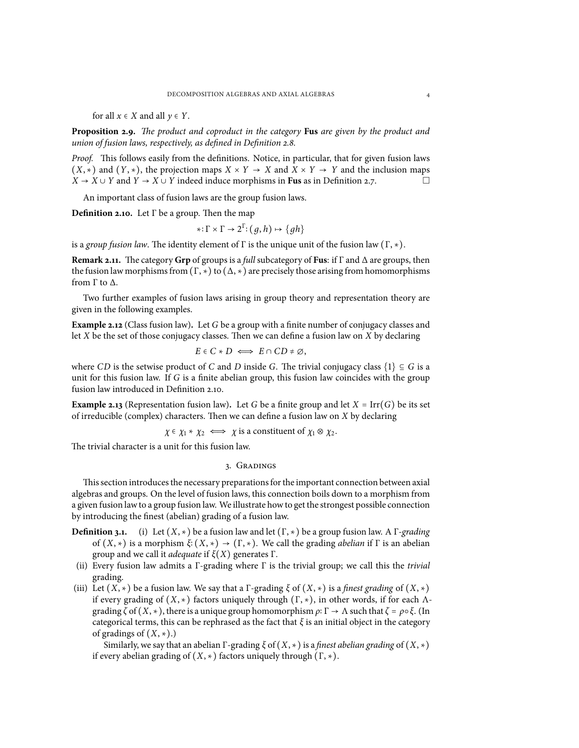for all  $x \in X$  and all  $y \in Y$ .

**Proposition 2.9.** *The product and coproduct in the category* **Fus** *are given by the product and union of fusion laws, respectively, as defined in Definition [2.8.](#page-2-1)*

*Proof.* This follows easily from the definitions. Notice, in particular, that for given fusion laws  $(X, *)$  and  $(Y, *)$ , the projection maps  $X \times Y \to X$  and  $X \times Y \to Y$  and the inclusion maps  $X \to X \cup Y$  and  $Y \to X \cup Y$  indeed induce morphisms in Fus as in Definition 2.7 *X* → *X* ∪ *Y* and *Y* → *X* ∪ *Y* indeed induce morphisms in **Fus** as in Definition [2.7](#page-2-2).

An important class of fusion laws are the group fusion laws.

<span id="page-3-1"></span>**Definition 2.10.** Let Γ be a group. Then the map

$$
*\colon \Gamma \times \Gamma \to 2^{\Gamma} \colon (g, h) \mapsto \{gh\}
$$

is a *group fusion law*. The identity element of  $\Gamma$  is the unique unit of the fusion law  $(\Gamma, \ast)$ .

**Remark 2.11.** The category **Grp** of groups is a *full* subcategory of **Fus**: if Γ and ∆ are groups, then the fusion law morphisms from  $(\Gamma, \star)$  to  $(\Delta, \star)$  are precisely those arising from homomorphisms from Γ to ∆.

Two further examples of fusion laws arising in group theory and representation theory are given in the following examples.

<span id="page-3-2"></span>**Example 2.12** (Class fusion law)**.** Let *G* be a group with a finite number of conjugacy classes and let *X* be the set of those conjugacy classes. Then we can define a fusion law on *X* by declaring

$$
E \in C \ast D \iff E \cap CD \neq \emptyset,
$$

where *CD* is the setwise product of *C* and *D* inside *G*. The trivial conjugacy class  $\{1\} \subseteq G$  is a unit for this fusion law. If *G* is a finite abelian group, this fusion law coincides with the group fusion law introduced in Definition [2.10](#page-3-1).

<span id="page-3-3"></span>**Example 2.13** (Representation fusion law). Let *G* be a finite group and let  $X = \text{Irr}(G)$  be its set of irreducible (complex) characters. Then we can define a fusion law on *X* by declaring

 $\chi \in \chi_1 \star \chi_2 \iff \chi$  is a constituent of  $\chi_1 \otimes \chi_2$ .

<span id="page-3-0"></span>The trivial character is a unit for this fusion law.

## 3. Gradings

This section introduces the necessary preparations for the important connection between axial algebras and groups. On the level of fusion laws, this connection boils down to a morphism from a given fusion lawto a group fusion law. We illustrate howto get the strongest possible connection by introducing the finest (abelian) grading of a fusion law.

**Definition 3.1.** (i) Let  $(X, *)$  be a fusion law and let  $(\Gamma, *)$  be a group fusion law. A  $\Gamma$ *-grading* of (*X*, ∗) is <sup>a</sup> morphism *<sup>ξ</sup>*<sup>∶</sup> (*X*, ∗) <sup>→</sup> (Γ, ∗). We call the grading *abelian* if <sup>Γ</sup> is an abelian group and we call it *adequate* if *ξ*(*X*) generates Γ.

- (ii) Every fusion law admits a Γ-grading where Γ is the trivial group; we call this the *trivial* grading.
- (iii) Let  $(X, *)$  be a fusion law. We say that a  $\Gamma$ -grading  $\xi$  of  $(X, *)$  is a *finest grading* of  $(X, *)$ if every grading of  $(X, *)$  factors uniquely through  $(Γ, *)$ , in other words, if for each Λgrading *<sup>ζ</sup>* of (*X*, ∗), there is <sup>a</sup> unique group homomorphism *<sup>ρ</sup>*<sup>∶</sup> <sup>Γ</sup> <sup>→</sup> <sup>Λ</sup> such that*<sup>ζ</sup>* <sup>=</sup> *<sup>ρ</sup>*○*ξ*. (In categorical terms, this can be rephrased as the fact that *ξ* is an initial object in the category of gradings of  $(X, *)$ .)

Similarly, we say that an abelian Γ-grading *<sup>ξ</sup>* of (*X*, ∗) is <sup>a</sup> *finest abelian grading* of (*X*, ∗) if every abelian grading of  $(X, *)$  factors uniquely through  $(\Gamma, *)$ .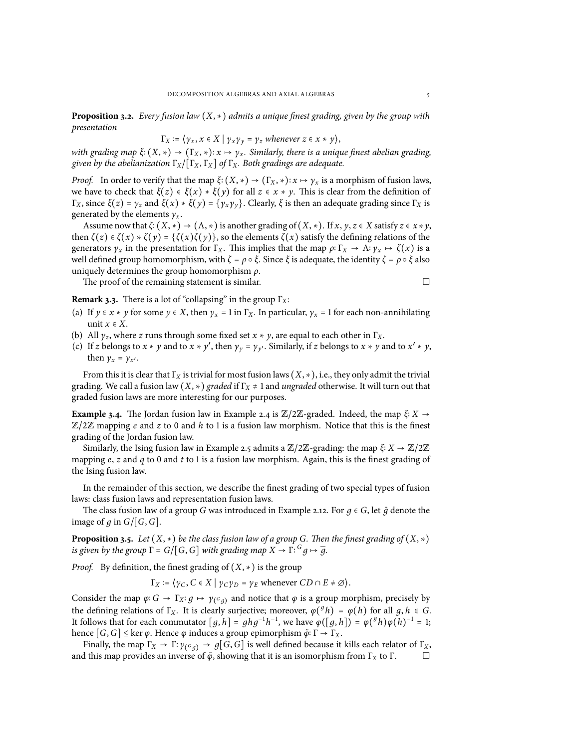**Proposition 3.2.** *Every fusion law* (*X*, ∗) *admits <sup>a</sup> unique finest grading, given by the group with presentation*

$$
\Gamma_X := \{ \gamma_x, x \in X \mid \gamma_x \gamma_y = \gamma_z \text{ whenever } z \in x * y \},
$$

*with grading map*  $\xi$ <sup>*:*</sup> ( $X$ ,  $*$ )  $\rightarrow$  ( $\Gamma_X$ ,  $*$ ):  $x \mapsto \gamma_x$ . *Similarly, there is a unique finest abelian grading, given by the abelianization* Γ*X*/[Γ*X*, Γ*X*] *of* Γ*X. Both gradings are adequate.*

*Proof.* In order to verify that the map  $\xi$ :  $(X, *) \to (\Gamma_X, *) : x \mapsto \gamma_x$  is a morphism of fusion laws, we have to check that  $\xi(z) \in \xi(x) * \xi(y)$  for all  $z \in x * y$ . This is clear from the definition of <sup>Γ</sup>*X*, since *<sup>ξ</sup>*(*z*) <sup>=</sup> *<sup>γ</sup><sup>z</sup>* and *<sup>ξ</sup>*(*x*) <sup>∗</sup> *<sup>ξ</sup>*(*y*) <sup>=</sup> {*γxγy*}. Clearly, *<sup>ξ</sup>* is then an adequate grading since <sup>Γ</sup>*<sup>X</sup>* is generated by the elements  $\gamma_x$ .

Assume now that  $\zeta$ <sup>*:*</sup> (*X*, \*)  $\rightarrow$  ( $\Lambda$ , \*) is another grading of (*X*, \*). If *x*, *y*, *z*  $\in$  *X* satisfy *z*  $\in$  *x* \* *y*, then  $\zeta(z) \in \zeta(x) * \zeta(y) = \{\zeta(x)\zeta(y)\}\,$ , so the elements  $\zeta(x)$  satisfy the defining relations of the generators  $\gamma_x$  in the presentation for  $\Gamma_x$ . This implies that the map  $\rho: \Gamma_x \to \Lambda: \gamma_x \mapsto \zeta(x)$  is a well defined group homomorphism, with  $\zeta = \rho \circ \xi$ . Since  $\xi$  is adequate, the identity  $\zeta = \rho \circ \xi$  also uniquely determines the group homomorphism *ρ*.

The proof of the remaining statement is similar.  $□$ 

**Remark 3.3.** There is a lot of "collapsing" in the group Γ*X*:

- (a) If  $\gamma \in X * \gamma$  for some  $\gamma \in X$ , then  $\gamma_x = 1$  in  $\Gamma_X$ . In particular,  $\gamma_x = 1$  for each non-annihilating unit  $x \in X$ .
- (b) All  $\gamma_z$ , where *z* runs through some fixed set  $x * y$ , are equal to each other in  $\Gamma_x$ .
- (c) If *z* belongs to  $x * y$  and to  $x * y'$ , then  $y_y = y_{y'}$ . Similarly, if *z* belongs to  $x * y$  and to  $x' * y$ , then  $\gamma_x = \gamma_{x'}$ .

From this it is clear that  $\Gamma_X$  is trivial for most fusion laws  $(X, *),$  i.e., they only admit the trivial grading. We call a fusion law (*X*, ∗) *graded* if <sup>Γ</sup>*<sup>X</sup>* <sup>≠</sup> <sup>1</sup> and *ungraded* otherwise. It will turn out that graded fusion laws are more interesting for our purposes.

**Example 3.4.** The Jordan fusion law in Example [2.4](#page-2-3) is  $\mathbb{Z}/2\mathbb{Z}$ -graded. Indeed, the map  $\xi$ :  $X \rightarrow$ <sup>Z</sup>/2<sup>Z</sup> mapping *<sup>e</sup>* and *<sup>z</sup>* to <sup>0</sup> and *<sup>h</sup>* to <sup>1</sup> is a fusion law morphism. Notice that this is the finest grading of the Jordan fusion law.

Similarly, the Ising fusion law in Example [2.5](#page-2-4) admits a  $\mathbb{Z}/2\mathbb{Z}$ -grading: the map  $\xi$ :  $X \to \mathbb{Z}/2\mathbb{Z}$ mapping *e*, *z* and *q* to 0 and *t* to 1 is a fusion law morphism. Again, this is the finest grading of the Ising fusion law.

In the remainder of this section, we describe the finest grading of two special types of fusion laws: class fusion laws and representation fusion laws.

The class fusion law of a group *G* was introduced in Example [2.12](#page-3-2). For  $q \in G$ , let  $\bar{q}$  denote the image of  $g$  in  $G/[G, G]$ .

**Proposition 3.5.** *Let*  $(X, *)$  *be the class fusion law of a group G. Then the finest grading of*  $(X, *)$ *is given by the group*  $\Gamma = G/[G, G]$  *with grading map*  $X \to \Gamma$ :  $G_g \mapsto \overline{g}$ .

*Proof.* By definition, the finest grading of  $(X, *)$  is the group

 $\Gamma_X := \langle \gamma_C, C \in X \mid \gamma_C \gamma_D = \gamma_E \text{ whenever } CD \cap E \neq \emptyset \rangle.$ 

Consider the map  $\varphi$ : *G* →  $\Gamma_X$ :  $g \mapsto \gamma_{(g,g)}$  and notice that  $\varphi$  is a group morphism, precisely by the defining relations of  $\Gamma_X$ . It is clearly surjective; moreover,  $\varphi({^g}h) = \varphi(h)$  for all  $g, h \in G$ . It follows that for each commutator  $[g, h] = ghg^{-1}h^{-1}$ , we have  $\varphi([g, h]) = \varphi({}^gh)\varphi(h)^{-1} = 1$ ; hence  $[G, G] \leq \ker \varphi$ . Hence  $\varphi$  induces a group epimorphism  $\tilde{\varphi}: \Gamma \to \Gamma_X$ .

Finally, the map  $\Gamma_X \to \Gamma: \gamma_{(\mathcal{G},g)} \to g[G,G]$  is well defined because it kills each relator of  $\Gamma_X$ , and this map provides an inverse of  $\tilde{\varphi}$ , showing that it is an isomorphism from  $\Gamma_X$  to  $\Gamma$ .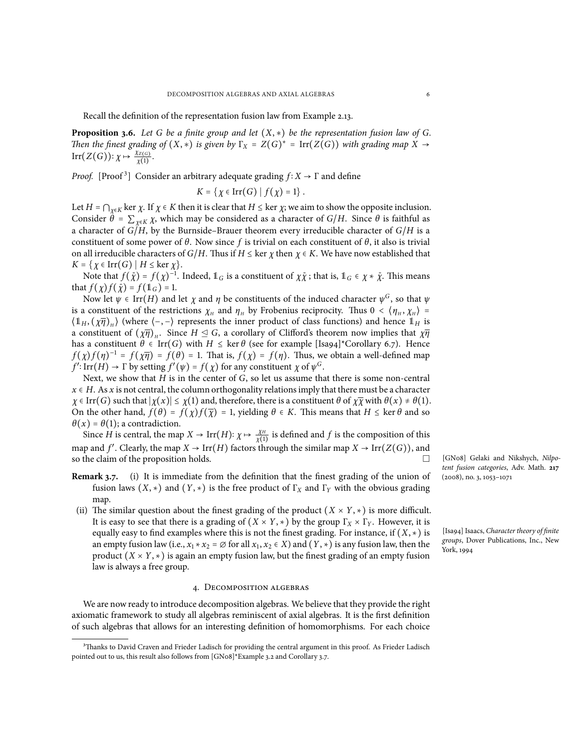Recall the definition of the representation fusion law from Example [2.13](#page-3-3).

<span id="page-5-1"></span>**Proposition 3.6.** Let G be a finite group and let  $(X, *)$  be the representation fusion law of G. *Then the finest grading of*  $(X, *)$  *is given by*  $\Gamma_X = Z(G)^* = \text{Irr}(Z(G))$  *with grading map*  $X \to$ Irr $(Z(G))$ :  $\chi \mapsto \frac{\chi_{Z(G)}}{\chi(1)}$  $\frac{\chi(Z(G))}{\chi(1)}$ .

*Proof.* [Proof<sup>3</sup>] Consider an arbitrary adequate grading  $f: X \to \Gamma$  and define

$$
K = \{ \chi \in \mathrm{Irr}(G) \mid f(\chi) = 1 \}.
$$

Let  $H = \bigcap_{\chi \in K} \ker \chi$ . If  $\chi \in K$  then it is clear that  $H \leq \ker \chi$ ; we aim to show the opposite inclusion. Consider  $\hat{\theta} = \sum_{\gamma \in K} \chi$ , which may be considered as a character of *G*/*H*. Since  $\theta$  is faithful as a character of *G*/*H*, by the Burnside–Brauer theorem every irreducible character of *G*/*H* is a constituent of some power of  $\theta$ . Now since f is trivial on each constituent of  $\theta$ , it also is trivial on all irreducible characters of *G*/*H*. Thus if  $H \leq \ker \chi$  then  $\chi \in K$ . We have now established that  $K = \{ \chi \in \text{Irr}(G) \mid H \leq \text{ker } \chi \}.$ 

Note that  $f(\bar{\chi}) = f(\chi)^{-1}$ . Indeed,  $\mathbb{1}_G$  is a constituent of  $\chi \bar{\chi}$ ; that is,  $\mathbb{1}_G \in \chi * \bar{\chi}$ . This means that  $f(\chi) f(\bar{\chi}) = f(\mathbb{1}_G) = 1$ .

Now let  $\psi \in \text{Irr}(H)$  and let  $\chi$  and  $\eta$  be constituents of the induced character  $\psi^G$ , so that  $\psi$ is a constituent of the restrictions  $\chi_H$  and  $\eta_H$  by Frobenius reciprocity. Thus  $0 < (\eta_H, \chi_H) =$  $\langle \mathbb{1}_H, (\chi \overline{\eta})_H \rangle$  (where  $\langle -, - \rangle$  represents the inner product of class functions) and hence  $\mathbb{1}_H$  is a constituent of  $(\chi \overline{\eta})_H$ . Since  $H \leq G$ , a corollary of Clifford's theorem now implies that  $\chi \overline{\eta}$ has a constituent  $\theta \in \text{Irr}(G)$  with  $H \leq \text{ker } \theta$  (see for example [Isa94]\*Corollary 6.7). Hence  $f(\chi) f(\eta)^{-1} = f(\chi \overline{\eta}) = f(\theta) = 1$ . That is,  $f(\chi) = f(\eta)$ . Thus, we obtain a well-defined map *f*': Irr(*H*)  $\rightarrow$  Γ by setting *f'*( $\psi$ ) = *f*(*χ*) for any constituent *χ* of  $\psi$ <sup>*G*</sup>.

Next, we show that *H* is in the center of *G*, so let us assume that there is some non-central  $x \in H$ . As *x* is not central, the column orthogonality relations imply that there must be a character  $\chi \in \text{Irr}(G)$  such that  $|\chi(x)| \leq \chi(1)$  and, therefore, there is a constituent  $\theta$  of  $\chi \overline{\chi}$  with  $\theta(x) \neq \theta(1)$ . On the other hand,  $f(\theta) = f(\chi)f(\overline{\chi}) = 1$ , yielding  $\theta \in K$ . This means that  $H \leq \ker \theta$  and so  $\theta(x) = \theta(1)$ ; a contradiction.

Since *H* is central, the map *X* → Irr(*H*):  $\chi \mapsto \frac{\chi_H}{\chi(1)}$  $\frac{\chi_H}{\chi(1)}$  is defined and *f* is the composition of this map and *f'*. Clearly, the map  $X \to \text{Irr}(H)$  factors through the similar map  $X \to \text{Irr}(Z(G))$ , and so the claim of the proposition holds.  $\Box$ 

- **Remark 3.7.** (i) It is immediate from the definition that the finest grading of the union of fusion laws  $(X, *)$  and  $(Y, *)$  is the free product of  $\Gamma_X$  and  $\Gamma_Y$  with the obvious grading map.
- (ii) The similar question about the finest grading of the product  $(X \times Y, *)$  is more difficult. It is easy to see that there is a grading of  $(X \times Y, *)$  by the group  $\Gamma_X \times \Gamma_Y$ . However, it is equally easy to find examples where this is not the finest grading. For instance, if  $(X, *)$  is an empty fusion law (i.e.,  $x_1 * x_2 = \emptyset$  for all  $x_1, x_2 \in X$ ) and  $(Y, *)$  is any fusion law, then the product  $(X \times Y, *)$  is again an empty fusion law, but the finest grading of an empty fusion law is always a free group.

### 4. Decomposition algebras

<span id="page-5-0"></span>We are now ready to introduce decomposition algebras. We believe that they provide the right axiomatic framework to study all algebras reminiscent of axial algebras. It is the first definition of such algebras that allows for an interesting definition of homomorphisms. For each choice [GN08] Gelaki and Nikshych, *Nilpotent fusion categories*, Adv. Math. **217** (2008), no. 3, 1053–1071

[Isa94] Isaacs, *Character theory of finite groups*, Dover Publications, Inc., New York, 1994

<sup>&</sup>lt;sup>3</sup>Thanks to David Craven and Frieder Ladisch for providing the central argument in this proof. As Frieder Ladisch pointed out to us, this result also follows from [GN08]\*Example 3.2 and Corollary 3.7.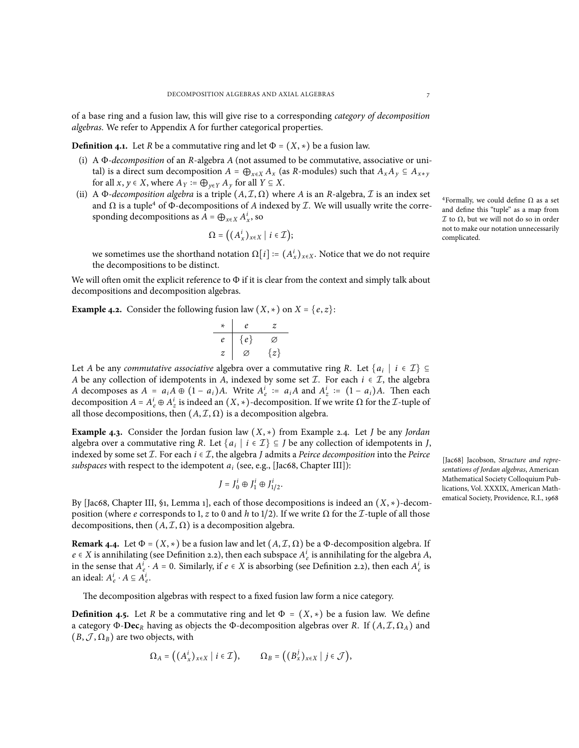of a base ring and a fusion law, this will give rise to a corresponding *category of decomposition algebras*. We refer to Appendix [A](#page-17-0) for further categorical properties.

**Definition 4.1.** Let *R* be a commutative ring and let  $\Phi = (X, *)$  be a fusion law.

- (i) A Φ*-decomposition* of an *R*-algebra *A* (not assumed to be commutative, associative or unital) is a direct sum decomposition  $A = \bigoplus_{x \in X} A_x$  (as *R*-modules) such that  $A_x A_y \subseteq A_{x*y}$ for all  $x, y \in X$ , where  $A_Y := \bigoplus_{y \in Y} A_y$  for all  $Y \subseteq X$ .
- (ii) A  $\Phi$ *-decomposition algebra* is a triple  $(A, \mathcal{I}, \Omega)$  where A is an *R*-algebra,  $\mathcal I$  is an index set and  $\Omega$  is a tuple<sup>4</sup> of  $\Phi$ -decompositions of *A* indexed by *I*. We will usually write the corresponding decompositions as  $A = \bigoplus_{x \in X} A_x^i$ , so

$$
\Omega = ((A_x^i)_{x \in X} \mid i \in \mathcal{I});
$$

we sometimes use the shorthand notation  $\Omega[i] := (A_x^i)_{x \in X}$ . Notice that we do not require the decompositions to be distinct.

We will often omit the explicit reference to  $\Phi$  if it is clear from the context and simply talk about decompositions and decomposition algebras.

**Example 4.2.** Consider the following fusion law  $(X, *)$  on  $X = \{e, z\}$ :

| * | e           | z           |
|---|-------------|-------------|
| e | $\{e\}$     | $\emptyset$ |
| z | $\emptyset$ | $\{z\}$     |

Let *A* be any *commutative associative* algebra over a commutative ring *R*. Let  $\{a_i \mid i \in \mathcal{I}\} \subseteq$ *A* be any collection of idempotents in *A*, indexed by some set *I*. For each *i* ∈ *I*, the algebra A decomposes as  $A = a_i A \oplus (1 - a_i)A$ . Write  $A_e^i := a_i A$  and  $A_z^i := (1 - a_i)A$ . Then each decomposition *A* =  $A_e^i$  ⊕  $A_z^i$  is indeed an  $(X, *)$ -decomposition. If we write Ω for the *I*-tuple of all those decompositions, then  $(A, \mathcal{I}, \Omega)$  is a decomposition algebra.

**Example 4.3.** Consider the Jordan fusion law (*X*, ∗) from Example [2.4.](#page-2-3) Let *<sup>J</sup>* be any *Jordan* algebra over a commutative ring *R*. Let  $\{a_i \mid i \in \mathcal{I}\} \subseteq J$  be any collection of idempotents in *J*, indexed by some set  $I$ . For each  $i \in I$ , the algebra *J* admits a *Peirce decomposition* into the *Peirce subspaces* with respect to the idempotent *a<sup>i</sup>* (see, e.g., [Jac68, Chapter III]):

$$
J=J_0^i\oplus J_1^i\oplus J_{1/2}^i.
$$

By [Jac68, Chapter III, §1, Lemma 1], each of those decompositions is indeed an (*X*, ∗)-decomposition (where *e* corresponds to 1, *z* to 0 and *h* to 1/2). If we write Ω for the *I*-tuple of all those decompositions, then  $(A, \mathcal{I}, \Omega)$  is a decomposition algebra.

**Remark 4.4.** Let  $\Phi = (X, *)$  be a fusion law and let  $(A, \mathcal{I}, \Omega)$  be a  $\Phi$ -decomposition algebra. If  $e \in X$  is annihilating (see Definition [2.2](#page-2-5)), then each subspace  $A_e^i$  is annihilating for the algebra *A*, in the sense that  $A_e^i \cdot A = 0$ . Similarly, if  $e \in X$  is absorbing (see Definition [2.2](#page-2-5)), then each  $A_e^i$  is an ideal:  $A_e^i \cdot A \subseteq A_e^i$ .

The decomposition algebras with respect to a fixed fusion law form a nice category.

<span id="page-6-0"></span>**Definition 4.5.** Let *R* be a commutative ring and let  $\Phi = (X, *)$  be a fusion law. We define a category Φ-**Dec***<sup>R</sup>* having as objects the Φ-decomposition algebras over *R*. If (*A*, *I*, Ω*A*) and  $(B, \mathcal{J}, \Omega_B)$  are two objects, with

$$
\Omega_A = ((A_x^i)_{x \in X} \mid i \in \mathcal{I}), \qquad \Omega_B = ((B_x^j)_{x \in X} \mid j \in \mathcal{J}),
$$

<sup>4</sup>Formally, we could define  $Ω$  as a set and define this "tuple" as a map from *I* to Ω, but we will not do so in order not to make our notation unnecessarily complicated.

[Jac68] Jacobson, *Structure and representations of Jordan algebras*, American Mathematical Society Colloquium Publications, Vol. XXXIX, American Mathematical Society, Providence, R.I., 1968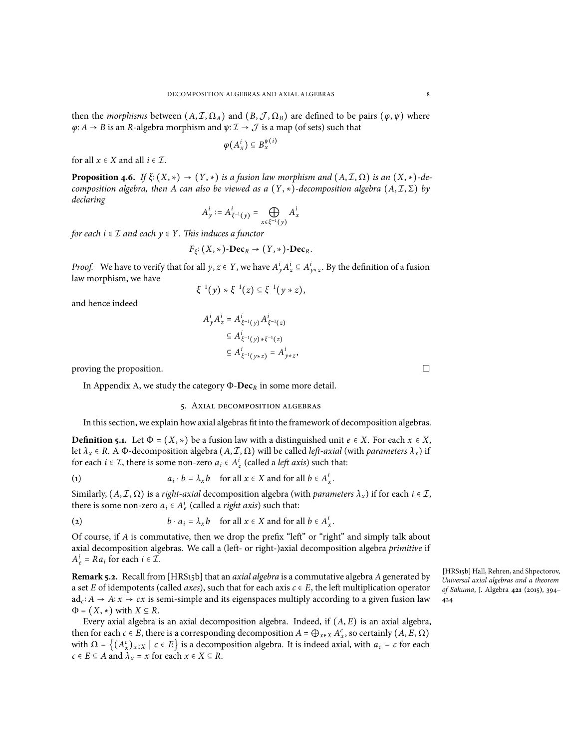then the *morphisms* between  $(A, \mathcal{I}, \Omega_A)$  and  $(B, \mathcal{J}, \Omega_B)$  are defined to be pairs  $(\varphi, \psi)$  where  $\varphi$ : *A* → *B* is an *R*-algebra morphism and  $\psi$ : *I* → *J* is a map (of sets) such that

$$
\varphi(A_x^i) \subseteq B_x^{\psi(i)}
$$

for all  $x \in X$  and all  $i \in \mathcal{I}$ .

<span id="page-7-2"></span>**Proposition 4.6.** *If*  $\xi$ <sup>*:*</sup> (*X*, \*)  $\rightarrow$  (*Y*, \*) *is a* fusion law morphism and (*A*, *I*,  $\Omega$ ) *is an* (*X*, \*)*-decomposition algebra, then A can also be viewed as a*  $(Y, *)$ *-decomposition algebra*  $(A, \mathcal{I}, \Sigma)$  *by declaring*

$$
A_y^i := A_{\xi^{-1}(y)}^i = \bigoplus_{x \in \xi^{-1}(y)} A_x^i
$$

*for each*  $i \in \mathcal{I}$  *and each*  $y \in Y$ *. This induces a functor* 

$$
F_{\xi}: (X, *)\text{-}\mathbf{Dec}_R \to (Y, *)\text{-}\mathbf{Dec}_R.
$$

*Proof.* We have to verify that for all *y*, *z*  $\in$  *Y*, we have  $A^i_y A^i_z \subseteq A^i_{y * z}$ . By the definition of a fusion law morphism, we have

$$
\xi^{-1}(y) * \xi^{-1}(z) \subseteq \xi^{-1}(y * z),
$$

and hence indeed

$$
A_y^i A_z^i = A_{\xi^{-1}(y)}^i A_{\xi^{-1}(z)}^i
$$
  
\n
$$
\subseteq A_{\xi^{-1}(y)*\xi^{-1}(z)}^i
$$
  
\n
$$
\subseteq A_{\xi^{-1}(y*z)}^i = A_{y*z}^i
$$

proving the proposition.  $\Box$ 

<span id="page-7-0"></span>In Appendix [A](#page-17-0), we study the category Φ-**Dec***<sup>R</sup>* in some more detail.

### <span id="page-7-1"></span>5. Axial decomposition algebras

In this section, we explain howaxial algebras fit into the framework of decomposition algebras.

**Definition 5.1.** Let  $\Phi = (X, *)$  be a fusion law with a distinguished unit  $e \in X$ . For each  $x \in X$ , let  $\lambda_x \in R$ . A Φ-decomposition algebra  $(A, \mathcal{I}, \Omega)$  will be called *left-axial* (with *parameters*  $\lambda_x$ ) if for each *i*  $\in \mathcal{I}$ , there is some non-zero  $a_i \in A_e^i$  (called a *left axis*) such that:

(1) 
$$
a_i \cdot b = \lambda_x b \quad \text{for all } x \in X \text{ and for all } b \in A_x^i.
$$

Similarly,  $(A, \mathcal{I}, \Omega)$  is a *right-axial* decomposition algebra (with *parameters*  $\lambda_x$ ) if for each  $i \in \mathcal{I}$ , there is some non-zero  $a_i \in A_e^i$  (called a *right axis*) such that:

(2) 
$$
b \cdot a_i = \lambda_x b \quad \text{for all } x \in X \text{ and for all } b \in A_x^i.
$$

Of course, if *A* is commutative, then we drop the prefix "left" or "right" and simply talk about axial decomposition algebras. We call a (left- or right-)axial decomposition algebra *primitive* if  $A_e^i = Ra_i$  for each  $i \in \mathcal{I}$ .

**Remark 5.2.** Recall from [HRS15b] that an *axial algebra* is a commutative algebra *A*generated by a set *E* of idempotents (called *axes*), such that for each axis *c* ∈ *E*, the left multiplication operator  $ad_c$ : *A* → *A*: *x* → *cx* is semi-simple and its eigenspaces multiply according to a given fusion law  $\Phi = (X, *)$  with  $X \subseteq R$ .

Every axial algebra is an axial decomposition algebra. Indeed, if (*A*, *E*) is an axial algebra, then for each *c* ∈ *E*, there is a corresponding decomposition  $A = \bigoplus_{x \in X} A_x^c$ , so certainly  $(A, E, \Omega)$ with  $\Omega = \left\{ (A_{\alpha}^c)_{x \in X} \mid c \in E \right\}$  is a decomposition algebra. It is indeed axial, with  $a_c = c$  for each  $c \in E \subseteq A$  and  $\lambda_x = x$  for each  $x \in X \subseteq R$ .

[HRS15b] Hall, Rehren, and Shpectorov, *Universal axial algebras and a theorem of Sakuma*, J. Algebra **421** (2015), 394– 424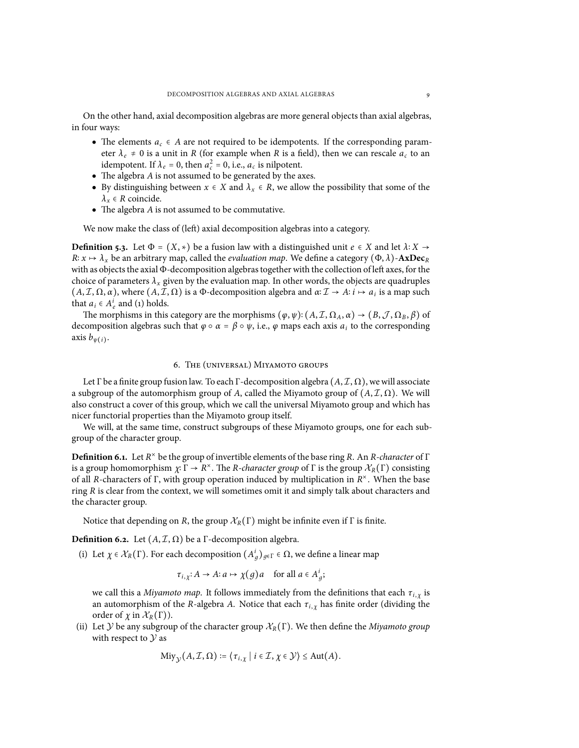On the other hand, axial decomposition algebras are more general objects than axial algebras, in four ways:

- The elements  $a_c \in A$  are not required to be idempotents. If the corresponding parameter  $\lambda_e \neq 0$  is a unit in *R* (for example when *R* is a field), then we can rescale  $a_c$  to an idempotent. If  $\lambda_e = 0$ , then  $a_c^2 = 0$ , i.e.,  $a_c$  is nilpotent.
- The algebra *A* is not assumed to be generated by the axes.
- By distinguishing between  $x \in X$  and  $\lambda_x \in R$ , we allow the possibility that some of the  $\lambda_x \in R$  coincide.
- The algebra *A* is not assumed to be commutative.

We now make the class of (left) axial decomposition algebras into a category.

**Definition 5.3.** Let  $\Phi = (X, *)$  be a fusion law with a distinguished unit  $e \in X$  and let  $\lambda: X \to \infty$  $R: x \mapsto \lambda_x$  be an arbitrary map, called the *evaluation map*. We define a category (Φ, λ)-**AxDec**<sub>*R*</sub> with as objects the axial Φ-decomposition algebras together with the collection of left axes, for the choice of parameters  $\lambda_x$  given by the evaluation map. In other words, the objects are quadruples  $(A, \mathcal{I}, \Omega, \alpha)$ , where  $(A, \mathcal{I}, \Omega)$  is a Φ-decomposition algebra and  $\alpha: \mathcal{I} \to A: i \mapsto a_i$  is a map such that  $a_i \in A_e^i$  and ([1](#page-7-1)) holds.

The morphisms in this category are the morphisms  $(\varphi, \psi)$ :  $(A, \mathcal{I}, \Omega_A, \alpha) \to (B, \mathcal{J}, \Omega_B, \beta)$  of decomposition algebras such that  $\varphi \circ \alpha = \beta \circ \psi$ , i.e.,  $\varphi$  maps each axis  $a_i$  to the corresponding axis  $b_{\psi(i)}$ .

## 6. The (universal) Miyamoto groups

<span id="page-8-0"></span>Let Γ be a finite group fusion law. To each Γ-decomposition algebra  $(A, \mathcal{I}, \Omega)$ , we will associate a subgroup of the automorphism group of *A*, called the Miyamoto group of  $(A, \mathcal{I}, \Omega)$ . We will also construct a cover of this group, which we call the universal Miyamoto group and which has nicer functorial properties than the Miyamoto group itself.

We will, at the same time, construct subgroups of these Miyamoto groups, one for each subgroup of the character group.

**Definition 6.1.** Let *R* × be the group of invertible elements of the base ring *R*. An *R-character* of Γ is a group homomorphism  $\chi: \Gamma \to \mathbb{R}^\times$ . The *R-character group* of  $\Gamma$  is the group  $\mathcal{X}_R(\Gamma)$  consisting of all *R*-characters of Γ, with group operation induced by multiplication in *R* × . When the base ring *R* is clear from the context, we will sometimes omit it and simply talk about characters and the character group.

Notice that depending on *R*, the group  $\mathcal{X}_R(\Gamma)$  might be infinite even if  $\Gamma$  is finite.

<span id="page-8-1"></span>**Definition 6.2.** Let  $(A, \mathcal{I}, \Omega)$  be a  $\Gamma$ -decomposition algebra.

(i) Let  $\chi \in \mathcal{X}_R(\Gamma)$ . For each decomposition  $(A_g^i)_{g \in \Gamma} \in \Omega$ , we define a linear map

$$
\tau_{i,\chi}: A \to A: a \mapsto \chi(g)a \quad \text{ for all } a \in A_g^i;
$$

we call this a *Miyamoto map*. It follows immediately from the definitions that each *τi*, *<sup>χ</sup>* is an automorphism of the *R*-algebra *A*. Notice that each *τi*, *<sup>χ</sup>* has finite order (dividing the order of  $\chi$  in  $\mathcal{X}_R(\Gamma)$ ).

(ii) Let *Y* be any subgroup of the character group *XR*(Γ). We then define the *Miyamoto group* with respect to *Y* as

$$
\text{Miy}_{\mathcal{Y}}(A,\mathcal{I},\Omega)\coloneqq \big\langle\tau_{i,\chi}\;\big|\;i\in\mathcal{I},\chi\in\mathcal{Y}\big\rangle\leq \text{Aut}(A).
$$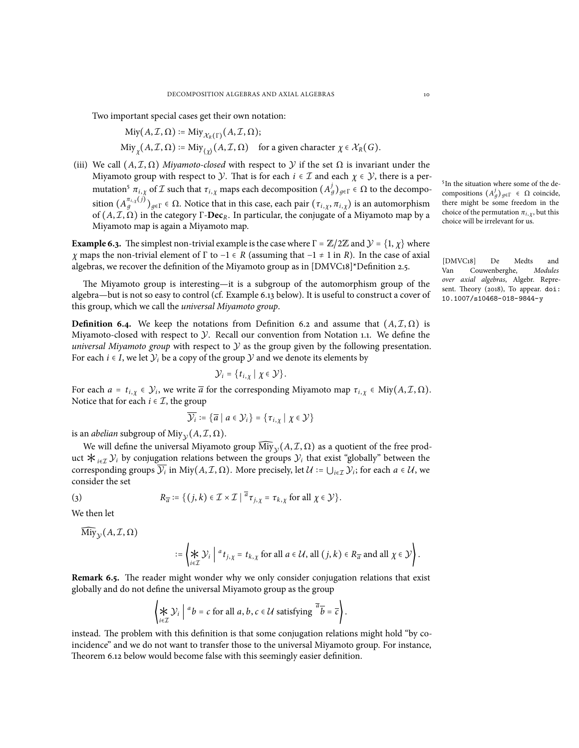Two important special cases get their own notation:

$$
Miy(A, \mathcal{I}, \Omega) := Miy_{\mathcal{X}_R(\Gamma)}(A, \mathcal{I}, \Omega);
$$
  
\n
$$
Miy_{\chi}(A, \mathcal{I}, \Omega) := Miy_{\chi}^{\dagger}(A, \mathcal{I}, \Omega) \quad \text{for a given character } \chi \in \mathcal{X}_R(G).
$$

<span id="page-9-1"></span>(iii) We call  $(A, \mathcal{I}, \Omega)$  *Miyamoto-closed* with respect to *y* if the set  $\Omega$  is invariant under the Miyamoto group with respect to *Y*. That is for each  $i \in \mathcal{I}$  and each  $\chi \in \mathcal{Y}$ , there is a permutation<sup>5</sup>  $π_{i, \chi}$  of *I* such that  $τ_{i, \chi}$  maps each decomposition  $(A_g^j)_{g \in \Gamma} \in \Omega$  to the decomposition  $(A_g^{\pi_{i,\chi}(j)})_{g \in \Gamma} \in \Omega$ . Notice that in this case, each pair  $(\tau_{i,\chi}, \pi_{i,\chi})$  is an automorphism of  $(A, \mathcal{I}, \Omega)$  in the category  $\Gamma$ -**Dec**<sub>*R*</sub>. In particular, the conjugate of a Miyamoto map by a Miyamoto map is again a Miyamoto map.

<span id="page-9-0"></span>**Example 6.3.** The simplest non-trivial example is the case where  $\Gamma = \mathbb{Z}/2\mathbb{Z}$  and  $\mathcal{Y} = \{1, \chi\}$  where *<sup>χ</sup>* maps the non-trivial element of <sup>Γ</sup> to <sup>−</sup><sup>1</sup> <sup>∈</sup> *<sup>R</sup>* (assuming that <sup>−</sup><sup>1</sup> <sup>≠</sup> <sup>1</sup> in *<sup>R</sup>*). In the case of axial algebras, we recover the definition of the Miyamoto group as in [DMVC18]\*Definition 2.5.

The Miyamoto group is interesting—it is a subgroup of the automorphism group of the algebra—but is not so easy to control (cf. Example [6.13](#page-13-1) below). It is useful to construct a cover of this group, which we call the *universal Miyamoto group*.

**Definition 6.4.** We keep the notations from Definition [6.2](#page-8-1) and assume that  $(A, \mathcal{I}, \Omega)$  is Miyamoto-closed with respect to *Y*. Recall our convention from Notation [1.1.](#page-1-0) We define the *universal Miyamoto group* with respect to *Y* as the group given by the following presentation. For each  $i \in I$ , we let  $\mathcal{Y}_i$  be a copy of the group  $\mathcal Y$  and we denote its elements by

$$
\mathcal{Y}_i = \{t_{i,\chi} \mid \chi \in \mathcal{Y}\}.
$$

For each  $a = t_{i, \chi} \in \mathcal{Y}_i$ , we write  $\overline{a}$  for the corresponding Miyamoto map  $\tau_{i, \chi} \in \text{Miy}(A, \mathcal{I}, \Omega)$ . Notice that for each  $i \in \mathcal{I}$ , the group

$$
\overline{\mathcal{Y}_i} \coloneqq \{ \overline{a} \mid a \in \mathcal{Y}_i \} = \{ \tau_{i,\chi} \mid \chi \in \mathcal{Y} \}
$$

is an *abelian* subgroup of Miy $_{\mathcal{Y}}(A, \mathcal{I}, \Omega).$ 

We will define the universal Miyamoto group  $\overline{\text{Miy}}_{\mathcal{Y}}(A, \mathcal{I}, \Omega)$  as a quotient of the free product  $\star_{i \in \mathcal{I}} \mathcal{Y}_i$  by conjugation relations between the groups  $\mathcal{Y}_i$  that exist "globally" between the corresponding groups  $\overline{\mathcal{Y}_i}$  in Miy $(A, \mathcal{I}, \Omega)$ . More precisely, let  $\mathcal{U} := \bigcup_{i \in \mathcal{I}} \mathcal{Y}_i$ ; for each  $a \in \mathcal{U}$ , we consider the set

(3) 
$$
R_{\overline{a}} \coloneqq \{ (j,k) \in \mathcal{I} \times \mathcal{I} \mid \overline{a}_{\mathcal{I}_{j,\chi}} = \tau_{k,\chi} \text{ for all } \chi \in \mathcal{Y} \}.
$$

We then let

$$
\overline{\mathrm{Miy}}_{\mathcal{Y}}(A, \mathcal{I}, \Omega)
$$

$$
:= \left\{ \underset{i \in \mathcal{I}}{\star} \mathcal{Y}_i \middle| \, ^a t_{j,\chi} = t_{k,\chi} \text{ for all } a \in \mathcal{U}, \text{ all } (j,k) \in R_{\overline{a}} \text{ and all } \chi \in \mathcal{Y} \right\}.
$$

**Remark 6.5.** The reader might wonder why we only consider conjugation relations that exist globally and do not define the universal Miyamoto group as the group

$$
\left\{ \bigstar \limits_{i \in \mathcal{I}} \mathcal{Y}_i \; \middle| \; {^a}b = c \; \text{for all} \; a, b, c \in \mathcal{U} \; \text{satisfying} \; \overline{^a}\overline{b} = \overline{c} \right\}.
$$

instead. The problem with this definition is that some conjugation relations might hold "by coincidence" and we do not want to transfer those to the universal Miyamoto group. For instance, Theorem [6.12](#page-12-0) below would become false with this seemingly easier definition.

5 In the situation where some of the decompositions  $(A_g^j)_{g \in Γ}$  ∈ Ω coincide, there might be some freedom in the choice of the permutation  $\pi_{i, \chi}$ , but this choice will be irrelevant for us.

[DMVC18] De Medts and Van Couwenberghe, *Modules over axial algebras*, Algebr. Represent. Theory (2018), To appear. [doi:](http://dx.doi.org/10.1007/s10468-018-9844-y) [10.1007/s10468-018-9844-y](http://dx.doi.org/10.1007/s10468-018-9844-y)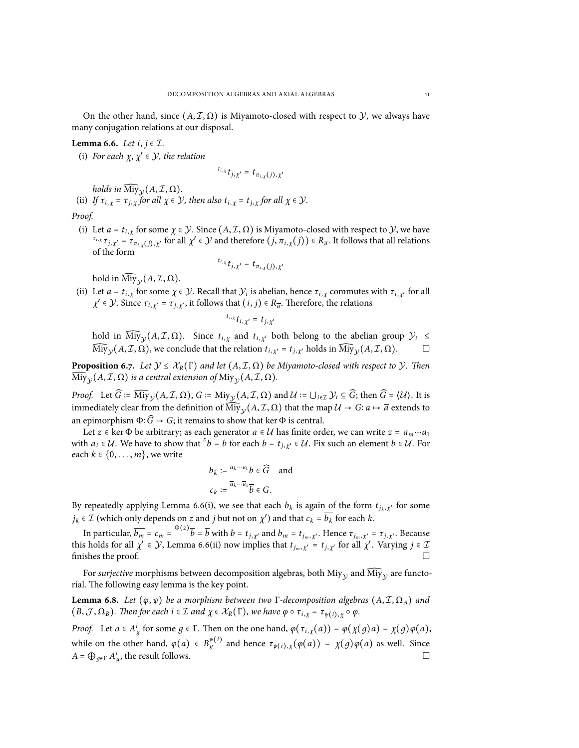On the other hand, since  $(A, \mathcal{I}, \Omega)$  is Miyamoto-closed with respect to *Y*, we always have many conjugation relations at our disposal.

# <span id="page-10-0"></span>**Lemma 6.6.** *Let i*, *j* ∈ *I.*

<span id="page-10-1"></span>(i) For each  $\chi, \chi' \in \mathcal{Y}$ , the relation

$$
t_{i,x} t_{j,\chi'} = t_{\pi_{i,\chi}(j),\chi'}
$$

*holds in*  $\text{Miy}_{\mathcal{Y}}(A, \mathcal{I}, \Omega)$ *.* 

<span id="page-10-2"></span>(ii) If  $\tau_{i,x} = \tau_{i,x}$  for all  $\chi \in \mathcal{Y}$ , then also  $t_{i,x} = t_{i,x}$  for all  $\chi \in \mathcal{Y}$ . *Proof.*

(i) Let  $a = t_{i, \chi}$  for some  $\chi \in \mathcal{Y}$ . Since  $(A, \mathcal{I}, \Omega)$  is Miyamoto-closed with respect to  $\mathcal{Y}$ , we have  $\tau_{i,\chi}\tau_{j,\chi'} = \tau_{\pi_{i,\chi}(j),\chi'}$  for all  $\chi' \in \mathcal{Y}$  and therefore  $(j,\pi_{i,\chi}(j)) \in R_{\overline{a}}$ . It follows that all relations of the form

$$
t_{i,x}t_{j,\chi'}=t_{\pi_{i,\chi}(j),\chi'}
$$

hold in  $\overline{\text{Miy}}_{\mathcal{Y}}(A, \mathcal{I}, \Omega)$ .

(ii) Let  $a = t_{i, \chi}$  for some  $\chi \in \mathcal{Y}$ . Recall that  $\mathcal{Y}_i$  is abelian, hence  $\tau_{i, \chi}$  commutes with  $\tau_{i, \chi'}$  for all *χ*<sup> $'$ </sup> ∈ *Y*. Since *τ*<sub>*i*, *χ*<sup> $'$ </sup> = *τ*<sub>*j*, *χ*<sup> $'$ </sup>, it follows that  $(i, j)$  ∈ *R<sub>a</sub>*. Therefore, the relations</sub></sub>

$$
t_{i,x}t_{i,\chi'}=t_{j,\chi'}
$$

hold in Miy<sub>y</sub>( $A, I, \Omega$ ). Since  $t_{i, \chi}$  and  $t_{i, \chi'}$  both belong to the abelian group  $\mathcal{Y}_i \leq$  $\widehat{\text{Miy}}_{\mathcal{Y}}(A, \mathcal{I}, \Omega)$ , we conclude that the relation  $t_{i, \chi'} = t_{j, \chi'}$  holds in  $\widehat{\text{Miy}}_{\mathcal{Y}}(A, \mathcal{I}, \Omega)$ .

**Proposition 6.7.** *Let*  $\mathcal{Y} \leq \mathcal{X}_R(\Gamma)$  *and let*  $(A, \mathcal{I}, \Omega)$  *be Miyamoto-closed with respect to*  $\mathcal{Y}$ *. Then*  ${\rm Miy}_\mathcal{Y}(A,\mathcal{I},\Omega)$  is a central extension of  ${\rm Miy}_\mathcal{Y}(A,\mathcal{I},\Omega)$ .

*Proof.* Let  $\widehat{G}$  :=  $\widehat{\text{Miy}}_{\mathcal{Y}}(A, \mathcal{I}, \Omega)$ ,  $G$  :=  $\text{Miy}_{\mathcal{Y}}(A, \mathcal{I}, \Omega)$  and  $\mathcal{U}$  :=  $\bigcup_{i \in \mathcal{I}} \mathcal{Y}_i \subseteq \widehat{G}$ ; then  $\widehat{G} = \langle \mathcal{U} \rangle$ . It is immediately clear from the definition of  $\widehat{\text{Miy}}_y(A, \mathcal{I}, \Omega)$  that the map  $\mathcal{U} \to G$ :  $a \mapsto \overline{a}$  extends to an epimorphism  $\Phi$ :  $\widehat{G}$  → *G*; it remains to show that ker  $\Phi$  is central.

Let *z* ∈ ker  $\Phi$  be arbitrary; as each generator *a* ∈ *U* has finite order, we can write *z* =  $a_m \cdots a_1$ with  $a_i \in \mathcal{U}$ . We have to show that  $^z b = b$  for each  $b = t_{j, \chi'} \in \mathcal{U}$ . Fix such an element  $b \in \mathcal{U}$ . For each  $k \in \{0, \ldots, m\}$ , we write

$$
b_k := \frac{a_k \cdots a_1}{\bar{a}_k \cdots \bar{a}_1} \overline{b} \in \widehat{G} \quad \text{and}
$$

$$
c_k := \frac{\overline{a}_k \cdots \overline{a}_1}{\bar{b}} \in G.
$$

By repeatedly applying Lemma [6.6](#page-10-0)([i\)](#page-10-1), we see that each  $b_k$  is again of the form  $t_{j_k, \chi'}$  for some  $j_k \in \mathcal{I}$  (which only depends on *z* and *j* but not on  $\chi'$ ) and that  $c_k = b_k$  for each  $k$ .

In particular,  $\overline{b_m} = c_m = \frac{\Phi(z)}{\overline{b}} = \overline{b}$  with  $b = t_{j,x'}$  and  $b_m = t_{j_m,x'}$ . Hence  $\tau_{j_m,x'} = \tau_{j,x'}$ . Because this holds for all  $\chi' \in \mathcal{Y}$ , Lemma [6.6\(](#page-10-0)[ii\)](#page-10-2) now implies that  $t_{j_m, \chi'} = t_{j, \chi'}$  for all  $\chi'$ . Varying  $j \in \mathcal{I}$ finishes the proof.  $\Box$ 

For *surjective* morphisms between decomposition algebras, both Miy<sub>y</sub> and  $\overline{\text{Miy}}_{\mathcal{Y}}$  are functorial. The following easy lemma is the key point.

<span id="page-10-3"></span>**Lemma 6.8.** *Let*  $(\varphi, \psi)$  *be a morphism between two* Γ-decomposition *algebras*  $(A, \mathcal{I}, \Omega_A)$  *and*  $(B, \mathcal{J}, \Omega_B)$ . Then for each  $i \in \mathcal{I}$  and  $\chi \in \mathcal{X}_R(\Gamma)$ , we have  $\varphi \circ \tau_{i,\chi} = \tau_{\psi(i),\chi} \circ \varphi$ .

*Proof.* Let  $a \in A_g^i$  for some  $g \in \Gamma$ . Then on the one hand,  $\varphi(\tau_{i,\chi}(a)) = \varphi(\chi(g)a) = \chi(g)\varphi(a)$ , while on the other hand,  $\varphi(a) \in B_g^{\psi(i)}$  and hence  $\tau_{\psi(i),\chi}(\varphi(a)) = \chi(g)\varphi(a)$  as well. Since  $A = \bigoplus_{g \in \Gamma} A_g^i$ , the result follows.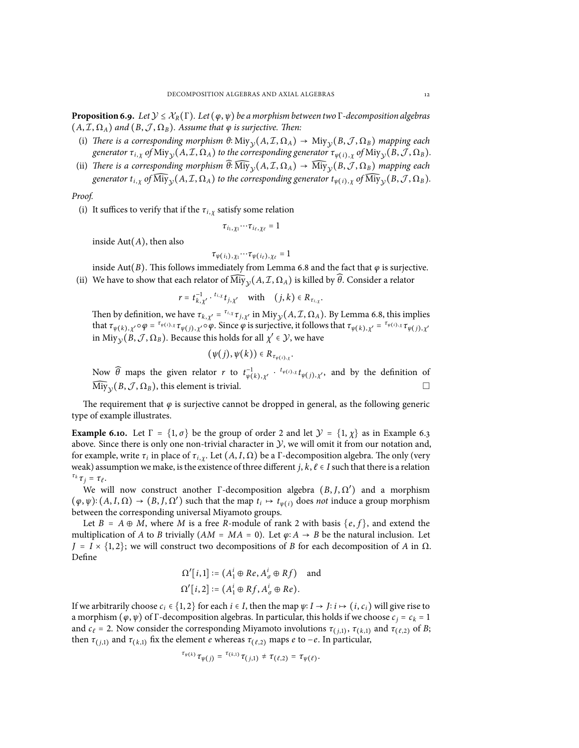<span id="page-11-0"></span>**Proposition 6.9.** *Let*  $\mathcal{Y} \leq \mathcal{X}_R(\Gamma)$ *. Let*  $(\varphi, \psi)$  *be a morphism between two* Γ*-decomposition algebras*  $(A, \mathcal{I}, \Omega_A)$  *and*  $(B, \mathcal{J}, \Omega_B)$ *. Assume that*  $\varphi$  *is surjective. Then:* 

- (i) *There is a* corresponding morphism  $\theta$ **:** Miy<sub>*Y*</sub>( $A, I, \Omega_A$ )  $\rightarrow$  Miy<sub>*Y*</sub>( $B, J, \Omega_B$ ) *mapping each* generator  $\tau_{i,\chi}$  of  ${\rm Miy}_\mathcal{Y}(A,\mathcal{I},\Omega_A)$  to the corresponding generator  $\tau_{\psi(i),\chi}$  of  ${\rm Miy}_\mathcal{Y}(B,\mathcal{J},\Omega_B)$ .
- (ii) *There is a corresponding morphism*  $\widehat{\theta}$ :  $\widehat{\text{Miy}}_y(A, \mathcal{I}, \Omega_A) \rightarrow \widehat{\text{Miy}}_y(B, \mathcal{J}, \Omega_B)$  *mapping each* generator  $t_{i,\chi}$  of  ${\rm My}_{\mathcal{Y}}(A, \mathcal{I}, \Omega_A)$  to the corresponding generator  $t_{\psi(i),\chi}$  of  ${\rm My}_{\mathcal{Y}}(B,\mathcal{J},\Omega_B).$

*Proof.*

(i) It suffices to verify that if the  $\tau_{i,x}$  satisfy some relation

$$
\tau_{i_1,\chi_1}\!\cdots\!\tau_{i_\ell,\chi_\ell}=1
$$

inside Aut(*A*), then also

$$
\tau_{\psi(i_1),\chi_1}\cdots\tau_{\psi(i_\ell),\chi_\ell}=1
$$

inside Aut(*B*). This follows immediately from Lemma [6.8](#page-10-3) and the fact that  $\varphi$  is surjective. (ii) We have to show that each relator of  $\text{Miy}_{\mathcal{Y}}(A, \mathcal{I}, \Omega_A)$  is killed by  $\theta$ . Consider a relator

$$
r = t_{k,\chi'}^{-1} \cdot t_{i,\chi} t_{j,\chi'} \quad \text{with} \quad (j,k) \in R_{\tau_{i,\chi}}.
$$

Then by definition, we have  $\tau_{k, \chi'} = \tau_{i, \chi} \tau_{j, \chi'}$  in Miy<sub>y</sub>( $A, \mathcal{I}, \Omega_A$ ). By Lemma [6.8,](#page-10-3) this implies that  $\tau_{\psi(k),\chi'}\circ\varphi = \tau_{\psi(i),\chi}\tau_{\psi(j),\chi'}\circ\varphi$ . Since  $\varphi$  is surjective, it follows that  $\tau_{\psi(k),\chi'} = \tau_{\psi(i),\chi}\tau_{\psi(j),\chi'}$ in Miy $_{\mathcal{Y}}(B, \mathcal{J}, \Omega_B)$ . Because this holds for all  $\chi' \in \mathcal{Y}$ , we have

$$
(\psi(j),\psi(k))\in R_{\tau_{\psi(i),\chi}}
$$

Now  $\widehat{\theta}$  maps the given relator *r* to  $t_{\psi(k), \chi'}^{-1}$  ·  ${}^{t_{\psi(i), \chi}}t_{\psi(j), \chi'}$ , and by the definition of  $\widehat{\mathrm{Miy}}_\mathcal{Y}(B,\mathcal{J},\Omega_B)$ , this element is trivial.  $\qquad \qquad \Box$ 

.

The requirement that *ϕ* is surjective cannot be dropped in general, as the following generic type of example illustrates.

**Example 6.10.** Let  $\Gamma = \{1, \sigma\}$  be the group of order 2 and let  $\mathcal{Y} = \{1, \chi\}$  as in Example [6.3](#page-9-0) above. Since there is only one non-trivial character in *Y*, we will omit it from our notation and, for example, write *τ*<sup>*i*</sup> in place of *τ*<sup>*i*</sup>, *χ*. Let  $(A, I, \Omega)$  be a Γ-decomposition algebra. The only (very weak) assumption we make, is the existence of three different *j*,  $k$ ,  $\ell \in I$  such that there is a relation *<sup>τ</sup><sup>k</sup> <sup>τ</sup> <sup>j</sup>* <sup>=</sup> *<sup>τ</sup><sup>ℓ</sup>* .

We will now construct another  $\Gamma$ -decomposition algebra  $(B, J, \Omega')$  and a morphism  $(\varphi, \psi) : (A, I, \Omega) \to (B, J, \Omega')$  such that the map  $t_i \mapsto t_{\psi(i)}$  does *not* induce a group morphism between the corresponding universal Miyamoto groups.

Let  $B = A \oplus M$ , where M is a free R-module of rank 2 with basis  $\{e, f\}$ , and extend the multiplication of *A* to *B* trivially ( $AM = MA = 0$ ). Let  $\varphi: A \to B$  be the natural inclusion. Let  $J = I \times \{1, 2\}$ ; we will construct two decompositions of *B* for each decomposition of *A* in  $\Omega$ . Define

$$
\Omega'[i,1] := (A_1^i \oplus Re, A_\sigma^i \oplus Rf) \text{ and}
$$
  

$$
\Omega'[i,2] := (A_1^i \oplus Rf, A_\sigma^i \oplus Re).
$$

If we arbitrarily choose  $c_i$  ∈ {1, 2} for each  $i$  ∈ *I*, then the map  $\psi$ ∶ *I* → *J*∶ *i* → (*i*,  $c_i$ ) will give rise to a morphism ( $\varphi$ ,  $\psi$ ) of Γ-decomposition algebras. In particular, this holds if we choose  $c_j = c_k = 1$ and  $c_\ell = 2$ . Now consider the corresponding Miyamoto involutions  $\tau_{(j,1)}$ ,  $\tau_{(k,1)}$  and  $\tau_{(\ell,2)}$  of *B*; then  $\tau_{(i,1)}$  and  $\tau_{(k,1)}$  fix the element *e* whereas  $\tau_{(\ell,2)}$  maps *e* to −*e*. In particular,

$$
^{\tau_{\psi(k)}}\tau_{\psi(j)} = {^{\tau_{(k,1)}}\tau_{(j,1)}} \neq \tau_{(\ell,2)} = \tau_{\psi(\ell)}.
$$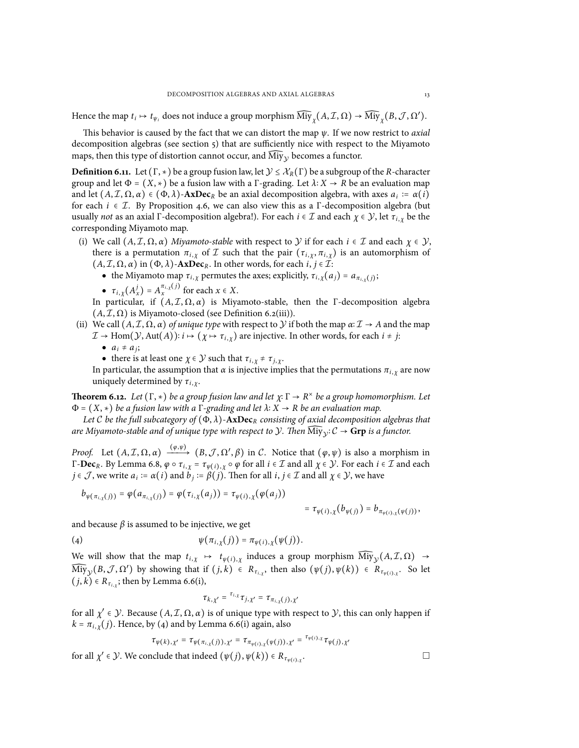Hence the map  $t_i \mapsto t_{\psi_i}$  does not induce a group morphism  ${\rm Miy}_\chi(A,\mathcal{I},\Omega) \to {\rm Miy}_\chi(B,\mathcal{J},\Omega').$ 

This behavior is caused by the fact that we can distort the map *ψ*. If we now restrict to *axial* decomposition algebras (see section  $\zeta$ ) that are sufficiently nice with respect to the Miyamoto maps, then this type of distortion cannot occur, and  ${\rm Miy}_\mathcal{Y}$  becomes a functor.

**Definition 6.11.** Let  $(\Gamma, *)$  be a group fusion law, let  $\mathcal{Y} \leq \mathcal{X}_R(\Gamma)$  be a subgroup of the *R*-character group and let  $\Phi = (X, \ast)$  be a fusion law with a Γ-grading. Let  $\lambda$ :  $X \to R$  be an evaluation map and let  $(A, \mathcal{I}, \Omega, \alpha) \in (\Phi, \lambda)$ -**AxDec**<sub>*R*</sub> be an axial decomposition algebra, with axes  $a_i := \alpha(i)$ for each  $i \in \mathcal{I}$ . By Proposition [4.6,](#page-7-2) we can also view this as a  $\Gamma$ -decomposition algebra (but usually *not* as an axial Γ-decomposition algebra!). For each *i* ∈ *I* and each *χ* ∈ *Y*, let *τi*, *<sup>χ</sup>* be the corresponding Miyamoto map.

- (i) We call  $(A, \mathcal{I}, \Omega, \alpha)$  *Miyamoto-stable* with respect to *Y* if for each  $i \in \mathcal{I}$  and each  $\chi \in \mathcal{Y}$ , there is a permutation  $\pi_{i, \chi}$  of *I* such that the pair  $(\tau_{i, \chi}, \pi_{i, \chi})$  is an automorphism of  $(A, \mathcal{I}, \Omega, \alpha)$  in  $(\Phi, \lambda)$ -AxDec<sub>*R*</sub>. In other words, for each *i*,  $j \in \mathcal{I}$ :
	- the Miyamoto map  $\tau_{i,\chi}$  permutes the axes; explicitly,  $\tau_{i,\chi}(a_j) = a_{\pi_{i,\chi}(j)}$ ;
	- $\tau_{i, \chi}(A_x^j) = A_x^{\pi_{i, \chi}(j)}$  for each  $x \in X$ .

In particular, if  $(A, \mathcal{I}, \Omega, \alpha)$  is Miyamoto-stable, then the Γ-decomposition algebra  $(A, \mathcal{I}, \Omega)$  is Miyamoto-closed (see Definition [6.2\(](#page-8-1)[iii](#page-9-1))).

- (ii) We call  $(A, \mathcal{I}, \Omega, \alpha)$  *of unique type* with respect to *Y* if both the map  $\alpha: \mathcal{I} \to A$  and the map  $\mathcal{I} \to \text{Hom}(\mathcal{Y}, \text{Aut}(A))$ :  $i \mapsto (\chi \mapsto \tau_{i, \chi})$  are injective. In other words, for each  $i \neq j$ :
	- $\bullet$   $a_i \neq a_j;$
	- there is at least one  $\chi \in \mathcal{Y}$  such that  $\tau_{i, \chi} \neq \tau_{j, \chi}$ .

In particular, the assumption that  $\alpha$  is injective implies that the permutations  $\pi_{i,x}$  are now uniquely determined by *τi*, *<sup>χ</sup>*.

<span id="page-12-0"></span>**Theorem 6.12.** *Let*  $(\Gamma, *)$  *be a group fusion law and let*  $\chi: \Gamma \to R^\times$  *be a group homomorphism. Let* <sup>Φ</sup> <sup>=</sup> (*X*, ∗) *be a fusion law with <sup>a</sup>* <sup>Γ</sup>*-grading and let <sup>λ</sup>*<sup>∶</sup> *<sup>X</sup>* <sup>→</sup> *<sup>R</sup> be an evaluation map.*

*Let C be the full subcategory of* (Φ, *λ*)-**AxDec***<sup>R</sup> consisting of axial decomposition algebras that are Miyamoto-stable and of unique type with respect to*  $\mathcal{Y}$ *. Then*  $\widehat{\mathrm{Miy}}_\mathcal{Y}$ *:*  $\mathcal{C} \to \mathbf{Grp}$  *<i>is a functor.* 

*Proof.* Let  $(A, \mathcal{I}, \Omega, \alpha) \xrightarrow{(\varphi, \psi)} (B, \mathcal{J}, \Omega', \beta)$  in *C*. Notice that  $(\varphi, \psi)$  is also a morphism in Γ-**Dec***R*. By Lemma [6.8,](#page-10-3) *<sup>ϕ</sup>* ○ *<sup>τ</sup>i*, *<sup>χ</sup>* <sup>=</sup> *<sup>τ</sup><sup>ψ</sup>*(*i*), *<sup>χ</sup>* ○ *<sup>ϕ</sup>* for all *<sup>i</sup>* <sup>∈</sup> *<sup>I</sup>* and all *<sup>χ</sup>* <sup>∈</sup> *<sup>Y</sup>*. For each *<sup>i</sup>* <sup>∈</sup> *<sup>I</sup>* and each *j* ∈ *J*, we write  $a_i := \alpha(i)$  and  $b_j := \beta(j)$ . Then for all *i*, *j* ∈ *I* and all  $\chi \in \mathcal{Y}$ , we have

$$
b_{\psi(\pi_{i,\chi}(j))} = \varphi(a_{\pi_{i,\chi}(j)}) = \varphi(\tau_{i,\chi}(a_j)) = \tau_{\psi(i),\chi}(\varphi(a_j))
$$

$$
= \tau_{\psi(i),\chi}(b_{\psi(j)}) = b_{\pi_{\psi(i),\chi}(\psi(j))},
$$

and because  $\beta$  is assumed to be injective, we get

(4) 
$$
\psi(\pi_{i,\chi}(j)) = \pi_{\psi(i),\chi}(\psi(j)).
$$

We will show that the map  $t_{i,\chi} \mapsto t_{\psi(i),\chi}$  induces a group morphism  $\overline{\text{Miy}}_{\mathcal{Y}}(A,\mathcal{I},\Omega) \rightarrow$  $\overline{\text{Miy}}_y(B, \mathcal{J}, \Omega')$  by showing that if  $(j,k) \in R_{\tau_{i,\chi}},$  then also  $(\psi(j), \psi(k)) \in R_{\tau_{\psi(i),\chi}}.$  So let  $(j, k) \in R_{\tau_{i,\chi}}$  $(j, k) \in R_{\tau_{i,\chi}}$  $(j, k) \in R_{\tau_{i,\chi}}$ ; then by Lemma [6.6](#page-10-0)(i),

<span id="page-12-1"></span>
$$
\tau_{k,\chi'} = \tau_{i,\chi} \tau_{j,\chi'} = \tau_{\pi_{i,\chi}(j),\chi'}
$$

for all  $\chi' \in \mathcal{Y}$ . Because  $(A, \mathcal{I}, \Omega, \alpha)$  is of unique type with respect to  $\mathcal{Y}$ , this can only happen if  $k = \pi_{i, \gamma}(j)$  $k = \pi_{i, \gamma}(j)$  $k = \pi_{i, \gamma}(j)$ . Hence, by ([4\)](#page-12-1) and by Lemma [6.6](#page-10-0)(i) again, also

$$
\tau_{\psi(k),\chi'} = \tau_{\psi(\pi_{i,\chi}(j)),\chi'} = \tau_{\pi_{\psi(i),\chi}(\psi(j)),\chi'} = \tau_{\psi(i),\chi} \tau_{\psi(j),\chi'}
$$
  
for all  $\chi' \in \mathcal{Y}$ . We conclude that indeed  $(\psi(j), \psi(k)) \in R_{\tau_{\psi(i),\chi}}$ .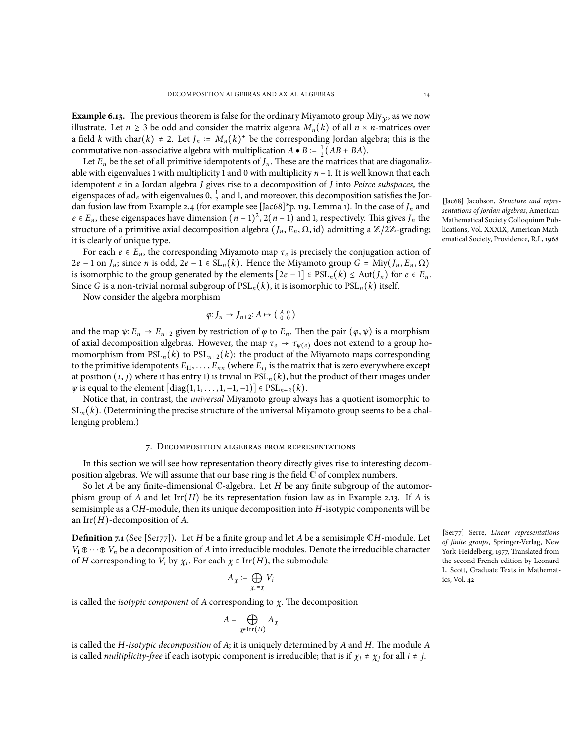<span id="page-13-1"></span>**Example 6.13.** The previous theorem is false for the ordinary Miyamoto group Miy<sub>y</sub>, as we now illustrate. Let  $n \ge 3$  be odd and consider the matrix algebra  $M_n(k)$  of all  $n \times n$ -matrices over a field *k* with char(*k*) ≠ 2. Let *J<sub>n</sub>* :=  $M_n(k)^+$  be the corresponding Jordan algebra; this is the commutative non-associative algebra with multiplication  $A \bullet B := \frac{1}{2}(AB + BA)$ .

Let  $E_n$  be the set of all primitive idempotents of  $J_n$ . These are the matrices that are diagonalizable with eigenvalues 1 with multiplicity 1 and 0 with multiplicity *n* −1. It is well known that each idempotent *e* in a Jordan algebra *J* gives rise to a decomposition of *J* into *Peirce subspaces*, the eigenspaces of ad<sub>e</sub> with eigenvalues 0,  $\frac{1}{2}$  and 1, and moreover, this decomposition satisfies the Jordan fusion law from Example [2.4](#page-2-3) (for example see [Jac68]\*p. 119, Lemma 1). In the case of *J<sup>n</sup>* and  $e \in E_n$ , these eigenspaces have dimension  $(n-1)^2$ ,  $2(n-1)$  and 1, respectively. This gives *J<sub>n</sub>* the structure of a primitive axial decomposition algebra  $(J_n, E_n, \Omega, id)$  admitting a  $\mathbb{Z}/2\mathbb{Z}$ -grading; it is clearly of unique type.

For each  $e \in E_n$ , the corresponding Miyamoto map  $\tau_e$  is precisely the conjugation action of <sup>2</sup>*<sup>e</sup>* <sup>−</sup> <sup>1</sup> on *<sup>J</sup>n*; since *<sup>n</sup>* is odd, <sup>2</sup>*<sup>e</sup>* <sup>−</sup> <sup>1</sup> <sup>∈</sup> SL*n*(*k*). Hence the Miyamoto group *<sup>G</sup>* <sup>=</sup> Miy(*J<sup>n</sup>* , *<sup>E</sup><sup>n</sup>* , <sup>Ω</sup>) is isomorphic to the group generated by the elements  $[2e-1]$  ∈  $PSL_n(k)$  ≤ Aut $(J_n)$  for  $e ∈ E_n$ . Since *G* is a non-trivial normal subgroup of  $PSL_n(k)$ , it is isomorphic to  $PSL_n(k)$  itself.

Now consider the algebra morphism

$$
\varphi\colon J_n\to J_{n+2}\colon A\mapsto \left(\begin{smallmatrix}A&0\\0&0\end{smallmatrix}\right)
$$

and the map  $\psi: E_n \to E_{n+2}$  given by restriction of  $\varphi$  to  $E_n$ . Then the pair  $(\varphi, \psi)$  is a morphism of axial decomposition algebras. However, the map  $\tau_e \mapsto \tau_{\psi(e)}$  does not extend to a group homomorphism from  $PSL_n(k)$  to  $PSL_{n+2}(k)$ : the product of the Miyamoto maps corresponding to the primitive idempotents  $E_{11}, \ldots, E_{nn}$  (where  $E_{ij}$  is the matrix that is zero everywhere except at position (*i*, *j*) where it has entry 1) is trivial in PSL*n*(*k*), but the product of their images under  $\psi$  is equal to the element  $\left[\text{diag}(1,1,\ldots,1,-1,-1)\right] \in \text{PSL}_{n+2}(k)$ .

Notice that, in contrast, the *universal* Miyamoto group always has a quotient isomorphic to SL*n*(*k*). (Determining the precise structure of the universal Miyamoto group seems to be a challenging problem.)

#### 7. Decomposition algebras from representations

<span id="page-13-0"></span>In this section we will see how representation theory directly gives rise to interesting decomposition algebras. We will assume that our base ring is the field C of complex numbers.

So let *A* be any finite-dimensional C-algebra. Let *H* be any finite subgroup of the automorphism group of *A* and let Irr(*H*) be its representation fusion law as in Example [2.13.](#page-3-3) If *A* is semisimple as a C*H*-module, then its unique decomposition into *H*-isotypic components will be an Irr(*H*)-decomposition of *A*.

**Definition 7.1** (See [Ser77])**.** Let *H* be a finite group and let *A* be a semisimple C*H*-module. Let  $V_1 \oplus \cdots \oplus V_n$  be a decomposition of *A* into irreducible modules. Denote the irreducible character of *H* corresponding to *V*<sup>*i*</sup> by  $\chi$ <sup>*i*</sup>. For each  $\chi$   $\in$  Irr(*H*), the submodule

$$
A_{\chi} \coloneqq \bigoplus_{\chi_i = \chi} V_i
$$

is called the *isotypic component* of *A* corresponding to *χ*. The decomposition

$$
A = \bigoplus_{\chi \in \operatorname{Irr}(H)} A_{\chi}
$$

is called the *H-isotypic decomposition* of *A*; it is uniquely determined by *A* and *H*. The module *A* is called *multiplicity-free* if each isotypic component is irreducible; that is if  $\chi_i \neq \chi_j$  for all  $i \neq j$ .

[Jac68] Jacobson, *Structure and representations of Jordan algebras*, American Mathematical Society Colloquium Publications, Vol. XXXIX, American Mathematical Society, Providence, R.I., 1968

[Ser77] Serre, *Linear representations of finite groups*, Springer-Verlag, New York-Heidelberg, 1977, Translated from the second French edition by Leonard L. Scott, Graduate Texts in Mathematics, Vol. 42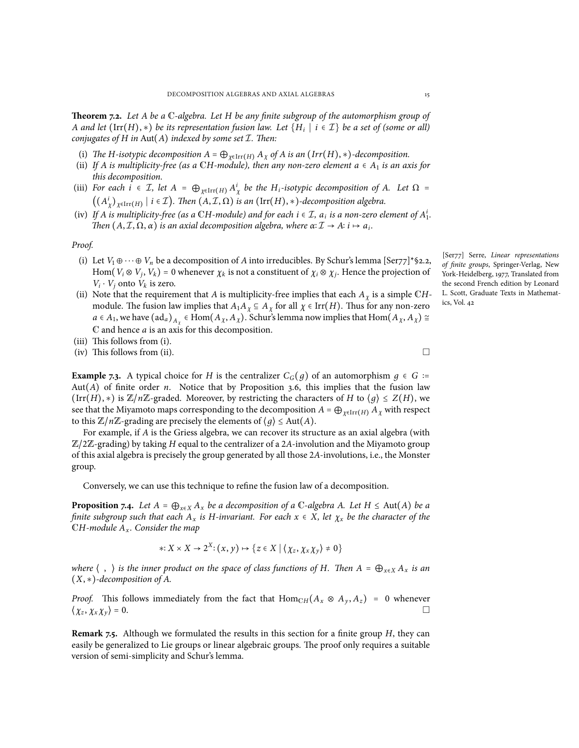<span id="page-14-1"></span>**Theorem 7.2.** *Let A be a* C*-algebra. Let H be any finite subgroup of the automorphism group of A and let* (Irr(*H*), *∗*) *be its representation fusion law. Let* {*H<sup>i</sup>* ∣ *i* ∈ *I*} *be a set of (some or all) conjugates of H in* Aut(*A*) *indexed by some set I. Then:*

- (i) *The H-isotypic decomposition*  $A = \bigoplus_{\chi \in \text{Irr}(H)} A_{\chi}$  *of*  $A$  *is an*  $(\text{Irr}(H), *)$ *-decomposition.*
- (ii) If *A* is multiplicity-free (as a CH-module), then any non-zero element  $a \in A_1$  is an axis for *this decomposition.*
- (iii) For each  $i \in \mathcal{I}$ , let  $A = \bigoplus_{\chi \in \text{Irr}(H)} A_{\chi}^{i}$  be the H<sub>i</sub>-isotypic decomposition of A. Let  $\Omega =$  $((A^i_\chi)_{\chi \in \text{Irr}(H)} \mid i \in \mathcal{I})$ . Then  $(A, \mathcal{I}, \Omega)$  *is an*  $(\text{Irr}(H), *)$ -decomposition algebra.
- (iv) If A is multiplicity-free (as a CH-module) and for each  $i \in \mathcal{I}$ ,  $a_i$  is a non-zero element of  $A_1^i$ . *Then*  $(A, \mathcal{I}, \Omega, \alpha)$  *is an axial decomposition algebra, where*  $\alpha: \mathcal{I} \to A: i \mapsto a_i$ .

*Proof.*

- (i) Let  $V_1 \oplus \cdots \oplus V_n$  be a decomposition of *A* into irreducibles. By Schur's lemma [Ser77]\*§2.2, Hom $(V_i \otimes V_j, V_k) = 0$  whenever  $\chi_k$  is not a constituent of  $\chi_i \otimes \chi_j$ . Hence the projection of  $V_i \cdot V_j$  onto  $V_k$  is zero.
- (ii) Note that the requirement that *A* is multiplicity-free implies that each  $A_\chi$  is a simple CHmodule. The fusion law implies that  $A_1A_\chi \subseteq A_\chi$  for all  $\chi \in \text{Irr}(H)$ . Thus for any non-zero  $a \in A_1$ , we have  $({\rm ad}_a)_{A_\chi} \in {\rm Hom}(A_\chi, A_\chi)$ . Schur's lemma now implies that  ${\rm Hom}(A_\chi, A_\chi) \cong$ C and hence *a* is an axis for this decomposition.
- (iii) This follows from (i).
- (iv) This follows from (ii).  $\Box$

**Example 7.3.** A typical choice for *H* is the centralizer  $C_G(q)$  of an automorphism  $q \in G$  ∶= Aut(*A*) of finite order *n*. Notice that by Proposition [3.6](#page-5-1), this implies that the fusion law  $(\text{Irr}(H), *)$  is  $\mathbb{Z}/n\mathbb{Z}$ -graded. Moreover, by restricting the characters of *H* to  $\langle g \rangle \leq Z(H)$ , we see that the Miyamoto maps corresponding to the decomposition  $A = \bigoplus_{\chi \in \text{Irr}(H)} A_\chi$  with respect to this  $\mathbb{Z}/n\mathbb{Z}$ -grading are precisely the elements of  $\langle g \rangle \leq \text{Aut}(A)$ .

For example, if *A* is the Griess algebra, we can recover its structure as an axial algebra (with <sup>Z</sup>/2Z-grading) by taking *<sup>H</sup>* equal to the centralizer of a <sup>2</sup>*A*-involution and the Miyamoto group of this axial algebra is precisely the group generated by all those 2*A*-involutions, i.e., the Monster group.

Conversely, we can use this technique to refine the fusion law of a decomposition.

<span id="page-14-0"></span>**Proposition 7.4.** *Let*  $A = \bigoplus_{x \in X} A_x$  *be a decomposition of a* C-algebra *A.* Let  $H \leq Aut(A)$  *be a* finite subgroup such that each  $A_x$  is H-invariant. For each  $x \in X$ , let  $\chi_x$  be the character of the C*H-module A<sup>x</sup> . Consider the map*

$$
*X \times X \to 2^X : (x, y) \mapsto \{z \in X \mid \langle \chi_z, \chi_x \chi_y \rangle \neq 0\}
$$

where  $\langle , \rangle$  is the inner product on the space of class functions of H. Then  $A = \bigoplus_{x \in X} A_x$  is an (*X*, *∗*)*-decomposition of A.*

*Proof.* This follows immediately from the fact that  $\text{Hom}_{\text{CH}}(A_x \otimes A_y, A_z) = 0$  whenever  $\{x_x, x_x, y_y\} = 0$ .  $\langle \chi_z, \chi_x \chi_y \rangle = 0.$  $,\chi_x\chi_y\rangle = 0.$ 

**Remark 7.5.** Although we formulated the results in this section for a finite group *H*, they can easily be generalized to Lie groups or linear algebraic groups. The proof only requires a suitable version of semi-simplicity and Schur's lemma.

[Ser77] Serre, *Linear representations of finite groups*, Springer-Verlag, New York-Heidelberg, 1977, Translated from the second French edition by Leonard

L. Scott, Graduate Texts in Mathemat-

ics, Vol. 42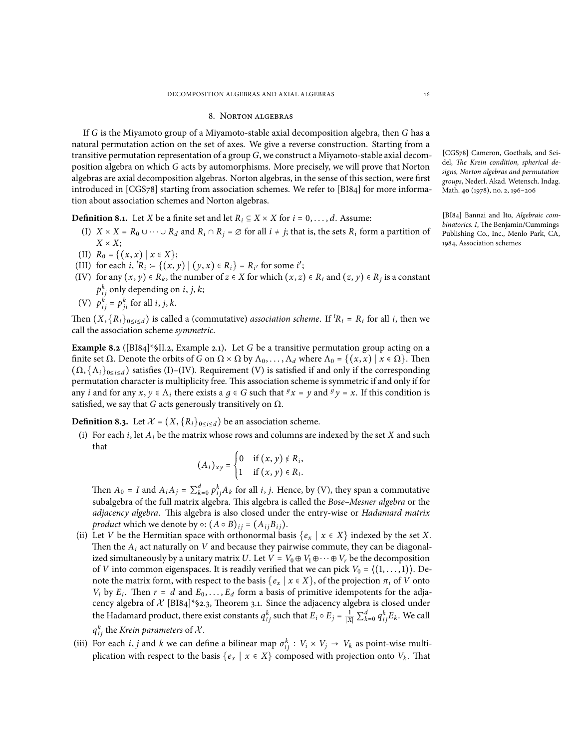#### 8. Norton algebras

<span id="page-15-0"></span>If *G* is the Miyamoto group of a Miyamoto-stable axial decomposition algebra, then *G* has a natural permutation action on the set of axes. We give a reverse construction. Starting from a transitive permutation representation of a group *G*, we construct a Miyamoto-stable axial decomposition algebra on which *G* acts by automorphisms. More precisely, we will prove that Norton algebras are axial decomposition algebras. Norton algebras, in the sense of this section, were first introduced in [CGS78] starting from association schemes. We refer to [BI84] for more information about association schemes and Norton algebras.

**Definition 8.1.** Let *X* be a finite set and let  $R_i \subseteq X \times X$  for  $i = 0, \ldots, d$ . Assume:

- (I)  $X \times X = R_0 \cup \cdots \cup R_d$  and  $R_i \cap R_j = \emptyset$  for all  $i \neq j$ ; that is, the sets  $R_i$  form a partition of  $X \times X$ :
- (II)  $R_0 = \{(x, x) | x \in X\};$
- (III) for each *i*,  ${}^{t}R_i = \{(x, y) | (y, x) \in R_i\} = R_{i'}$  for some *i'*;
- (IV) for any  $(x, y) \in R_k$ , the number of  $z \in X$  for which  $(x, z) \in R_i$  and  $(z, y) \in R_j$  is a constant  $p_{ij}^k$  only depending on *i*, *j*, *k*;

(V) 
$$
p_{ij}^k = p_{ji}^k
$$
 for all *i*, *j*, *k*.

Then  $(X, \{R_i\}_{0 \le i \le d})$  is called a (commutative) *association scheme*. If  ${}^t R_i = R_i$  for all *i*, then we call the association scheme *symmetric*.

**Example 8.2** ([BI84]\*§II.2, Example 2.1)**.** Let *G* be a transitive permutation group acting on a finite set  $\Omega$ . Denote the orbits of *G* on  $\Omega \times \Omega$  by  $\Lambda_0, \ldots, \Lambda_d$  where  $\Lambda_0 = \{(x, x) | x \in \Omega\}$ . Then  $(\Omega, {\Lambda_i}_{0 \le i \le d})$  satisfies (I)–(IV). Requirement (V) is satisfied if and only if the corresponding permutation character is multiplicity free. This association scheme is symmetric if and only if for any *i* and for any  $x, y \in \Lambda_i$  there exists a  $g \in G$  such that  $^gx = y$  and  $^gy = x$ . If this condition is satisfied, we say that *G* acts generously transitively on  $\Omega$ .

<span id="page-15-1"></span>**Definition 8.3.** Let  $\mathcal{X} = (X, \{R_i\}_{0 \leq i \leq d})$  be an association scheme.

(i) For each  $i$ , let  $A_i$  be the matrix whose rows and columns are indexed by the set  $X$  and such that

$$
(A_i)_{xy} = \begin{cases} 0 & \text{if } (x, y) \notin R_i, \\ 1 & \text{if } (x, y) \in R_i. \end{cases}
$$

Then  $A_0 = I$  and  $A_i A_j = \sum_{k=0}^d p_{ij}^k A_k$  for all *i*, *j*. Hence, by (V), they span a commutative subalgebra of the full matrix algebra. This algebra is called the *Bose–Mesner algebra* or the *adjacency algebra*. This algebra is also closed under the entry-wise or *Hadamard matrix product* which we denote by  $\circ$ :  $(A \circ B)_{ij} = (A_{ij}B_{ij})$ .

- (ii) Let *V* be the Hermitian space with orthonormal basis  $\{e_x \mid x \in X\}$  indexed by the set *X*. Then the *A<sup>i</sup>* act naturally on *V* and because they pairwise commute, they can be diagonalized simultaneously by a unitary matrix *U*. Let  $V = V_0 \oplus V_1 \oplus \cdots \oplus V_r$  be the decomposition of *V* into common eigenspaces. It is readily verified that we can pick  $V_0 = \langle (1, \ldots, 1) \rangle$ . Denote the matrix form, with respect to the basis  $\{e_x \mid x \in X\}$ , of the projection  $\pi_i$  of *V* onto *V<sub>i</sub>* by *E<sub>i</sub>*. Then  $r = d$  and  $E_0, \ldots, E_d$  form a basis of primitive idempotents for the adjacency algebra of  $X$  [BI84]\*§2.3, Theorem 3.1. Since the adjacency algebra is closed under the Hadamard product, there exist constants  $q_{ij}^k$  such that  $E_i \circ E_j = \frac{1}{|X|} \sum_{k=0}^d q_{ij}^k E_k$ . We call  $q_{ij}^k$  the *Krein parameters* of  $\mathcal{X}.$
- (iii) For each *i*, *j* and *k* we can define a bilinear map  $\sigma_{ij}^k : V_i \times V_j \to V_k$  as point-wise multiplication with respect to the basis  $\{e_x \mid x \in X\}$  composed with projection onto  $V_k$ . That

[CGS78] Cameron, Goethals, and Seidel, *The Krein condition, spherical designs, Norton algebras and permutation groups*, Nederl. Akad. Wetensch. Indag. Math. **40** (1978), no. 2, 196–206

[BI84] Bannai and Ito, *Algebraic combinatorics. I*, The Benjamin/Cummings Publishing Co., Inc., Menlo Park, CA, 1984, Association schemes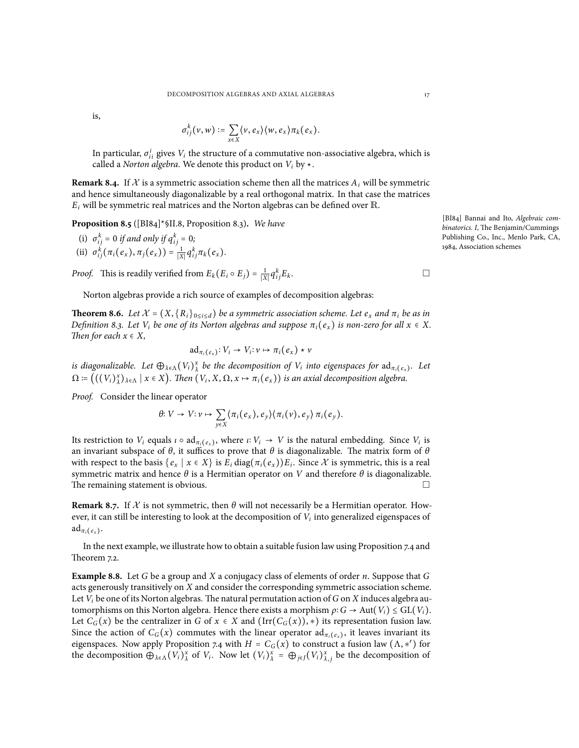is,

$$
\sigma_{ij}^k(\nu,w) \coloneqq \sum_{x \in X} \langle \nu, e_x \rangle \langle w, e_x \rangle \pi_k(e_x).
$$

In particular,  $\sigma_{ii}^i$  gives  $V_i$  the structure of a commutative non-associative algebra, which is called a *Norton algebra*. We denote this product on  $V_i$  by  $\star$ .

**Remark 8.4.** If  $X$  is a symmetric association scheme then all the matrices  $A_i$  will be symmetric and hence simultaneously diagonalizable by a real orthogonal matrix. In that case the matrices  $E_i$  will be symmetric real matrices and the Norton algebras can be defined over  $\mathbb{R}$ .

**Proposition 8.5** ([BI84]\*§II.8, Proposition 8.3)**.** *We have*

(i)  $\sigma_{ij}^k = 0$  *if and only if*  $q_{ij}^k = 0$ ; (ii)  $\sigma_{ij}^k(\pi_i(e_x), \pi_j(e_x)) = \frac{1}{|X|} q_{ij}^k \pi_k(e_x)$ .

*Proof.* This is readily verified from  $E_k(E_i \circ E_j) = \frac{1}{|X|} q_i^k$  $i_j E_k$ . □

Norton algebras provide a rich source of examples of decomposition algebras:

**Theorem 8.6.** Let  $\mathcal{X} = (X, \{R_i\}_{0 \le i \le d})$  be a symmetric association scheme. Let  $e_x$  and  $\pi_i$  be as in Definition [8.3.](#page-15-1) Let V<sub>i</sub> be one of its Norton algebras and suppose  $\pi_i(e_x)$  is non-zero for all  $x \in X$ . *Then for each*  $x \in X$ *,* 

$$
\mathrm{ad}_{\pi_i(e_x)}: V_i \to V_i: \nu \mapsto \pi_i(e_x) \star \nu
$$

is diagonalizable. Let  $\bigoplus_{\lambda \in \Lambda} (V_i)^x_{\lambda}$  be the decomposition of  $V_i$  into eigenspaces for  $ad_{\pi_i(e_x)}$ . Let  $\Omega \coloneqq \big(\big((V_i)^x_\lambda\big)_{\lambda \in \Lambda} \mid x \in X\big)$ . Then  $(V_i, X, \Omega, x \mapsto \pi_i(e_x))$  is an axial decomposition algebra.

*Proof.* Consider the linear operator

$$
\theta: V \to V: \nu \mapsto \sum_{y \in X} \langle \pi_i(e_x), e_y \rangle \langle \pi_i(v), e_y \rangle \pi_i(e_y).
$$

Its restriction to  $V_i$  equals  $\iota \circ \text{ad}_{\pi_i(e_x)}$ , where  $\iota: V_i \to V$  is the natural embedding. Since  $V_i$  is an invariant subspace of  $\theta$ , it suffices to prove that  $\theta$  is diagonalizable. The matrix form of  $\theta$ with respect to the basis  $\{e_x \mid x \in X\}$  is  $E_i \text{diag}(\pi_i(e_x))E_i$ . Since X is symmetric, this is a real symmetric matrix and hence *θ* is a Hermitian operator on *V* and therefore *θ* is diagonalizable. The remaining statement is obvious. □

**Remark 8.7.** If  $\mathcal X$  is not symmetric, then  $\theta$  will not necessarily be a Hermitian operator. However, it can still be interesting to look at the decomposition of *V<sup>i</sup>* into generalized eigenspaces of  $\mathrm{ad}_{\pi_i(e_x)}$ .

In the next example, we illustrate how to obtain a suitable fusion law using Proposition [7.4](#page-14-0) and Theorem [7.2.](#page-14-1)

**Example 8.8.** Let *G* be a group and *X* a conjugacy class of elements of order *n*. Suppose that *G* acts generously transitively on *X* and consider the corresponding symmetric association scheme. Let *V<sup>i</sup>* be one of its Norton algebras. The natural permutation action of*G* on *X* induces algebra automorphisms on this Norton algebra. Hence there exists a morphism  $\rho$ :  $G \to Aut(V_i) \leq GL(V_i)$ . Let  $C_G(x)$  be the centralizer in *G* of  $x \in X$  and  $(\text{Irr}(C_G(x)), *)$  its representation fusion law. Since the action of  $C_G(x)$  commutes with the linear operator  $ad_{\pi_i(e_x)}$ , it leaves invariant its eigenspaces. Now apply Proposition [7.4](#page-14-0) with  $H = C_G(x)$  to construct a fusion law  $(\Lambda, \ast')$  for the decomposition  $\bigoplus_{\lambda \in \Lambda} (V_i)_{\lambda}^x$  of  $V_i$ . Now let  $(V_i)_{\lambda}^x = \bigoplus_{j \in J} (V_i)_{\lambda,j}^x$  be the decomposition of

[BI84] Bannai and Ito, *Algebraic combinatorics. I*, The Benjamin/Cummings Publishing Co., Inc., Menlo Park, CA, 1984, Association schemes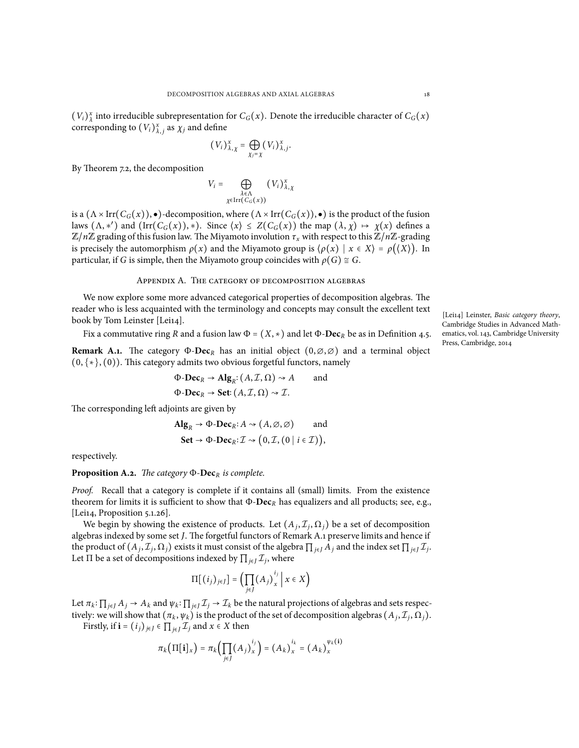$(V_i)_{\lambda}^x$  into irreducible subrepresentation for  $C_G(x)$ . Denote the irreducible character of  $C_G(x)$ corresponding to  $(V_i)_{\lambda,j}^x$  as  $\chi_j$  and define

$$
(V_i)_{\lambda,\chi}^x = \bigoplus_{\chi_j=\chi} (V_i)_{\lambda,j}^x.
$$

By Theorem [7.2,](#page-14-1) the decomposition

$$
V_i = \bigoplus_{\substack{\lambda \in \Lambda \\ \chi \in \operatorname{Irr}(C_G(x))}} (V_i)_{\lambda, \chi}^x
$$

is a  $(\Lambda \times \text{Irr}(C_G(x)), \bullet)$ -decomposition, where  $(\Lambda \times \text{Irr}(C_G(x)), \bullet)$  is the product of the fusion laws  $(\Lambda, \ast')$  and  $(\text{Irr}(C_G(x)), \ast)$ . Since  $\langle x \rangle \leq Z(C_G(x))$  the map  $(\lambda, \chi) \mapsto \chi(x)$  defines a  $\mathbb{Z}/n\mathbb{Z}$  grading of this fusion law. The Miyamoto involution  $\tau_x$  with respect to this  $\mathbb{Z}/n\mathbb{Z}$ -grading is precisely the automorphism  $\rho(x)$  and the Miyamoto group is  $\langle \rho(x) | x \in X \rangle = \rho(\langle X \rangle)$ . In particular, if *G* is simple, then the Miyamoto group coincides with  $\rho(G) \cong G$ .

### Appendix A. The category of decomposition algebras

<span id="page-17-0"></span>We now explore some more advanced categorical properties of decomposition algebras. The reader who is less acquainted with the terminology and concepts may consult the excellent text book by Tom Leinster [Lei14].

Fix a commutative ring *R* and a fusion law  $\Phi = (X, *)$  and let  $\Phi$ -**Dec**<sub>*R*</sub> be as in Definition [4.5](#page-6-0).

<span id="page-17-1"></span>**Remark A.1.** The category Φ-**Dec***<sup>R</sup>* has an initial object (0,∅,∅) and a terminal object (0, {∗}, (0)). This category admits two obvious forgetful functors, namely

$$
\Phi\text{-}\mathbf{Dec}_R \to \mathbf{Alg}_R : (A, \mathcal{I}, \Omega) \to A \quad \text{and}
$$
  

$$
\Phi\text{-}\mathbf{Dec}_R \to \mathbf{Set} : (A, \mathcal{I}, \Omega) \to \mathcal{I}.
$$

The corresponding left adjoints are given by

$$
\mathbf{Alg}_R \to \Phi\text{-}\mathbf{Dec}_R: A \rightsquigarrow (A, \varnothing, \varnothing) \quad \text{and}
$$
  

$$
\mathbf{Set} \to \Phi\text{-}\mathbf{Dec}_R: \mathcal{I} \rightsquigarrow (0, \mathcal{I}, (0 \mid i \in \mathcal{I})),
$$

respectively.

**Proposition A.2.** *The category* Φ-**Dec***<sup>R</sup> is complete.*

*Proof.* Recall that a category is complete if it contains all (small) limits. From the existence theorem for limits it is sufficient to show that Φ-**Dec***<sup>R</sup>* has equalizers and all products; see, e.g., [Lei14, Proposition 5.1.26].

We begin by showing the existence of products. Let  $(A_j, \mathcal{I}_j, \Omega_j)$  be a set of decomposition algebras indexed by some set *J*. The forgetful functors of Remark [A.1](#page-17-1) preserve limits and hence if the product of  $(A_j, \mathcal{I}_j, \Omega_j)$  exists it must consist of the algebra  $\prod_{j \in J} A_j$  and the index set  $\prod_{j \in J} \mathcal{I}_j$ . Let  $\Pi$  be a set of decompositions indexed by  $\prod_{j\in J} \mathcal{I}_j$ , where

$$
\Pi[(i_j)_{j\in J}] = \left(\prod_{j\in J} (A_j)_x^{i_j}\,\middle|\, x \in X\right)
$$

Let  $\pi_k: \prod_{j\in J} A_j \to A_k$  and  $\psi_k: \prod_{j\in J} \mathcal{I}_j \to \mathcal{I}_k$  be the natural projections of algebras and sets respectively: we will show that  $(\pi_k, \psi_k)$  is the product of the set of decomposition algebras  $(A_j, \mathcal{I}_j, \Omega_j)$ .

Firstly, if **i** =  $(i_j)_{j \in J} \in \prod_{i \in J} \mathcal{I}_j$  and  $x \in X$  then

$$
\pi_k\left(\Pi[\mathbf{i}]_x\right)=\pi_k\left(\prod_{j\in J}\left(A_j\right)_x^{i_j}\right)=\left(A_k\right)_x^{i_k}=\left(A_k\right)_x^{\psi_k(\mathbf{i})}
$$

[Lei14] Leinster, *Basic category theory*, Cambridge Studies in Advanced Mathematics, vol. 143, Cambridge University Press, Cambridge, 2014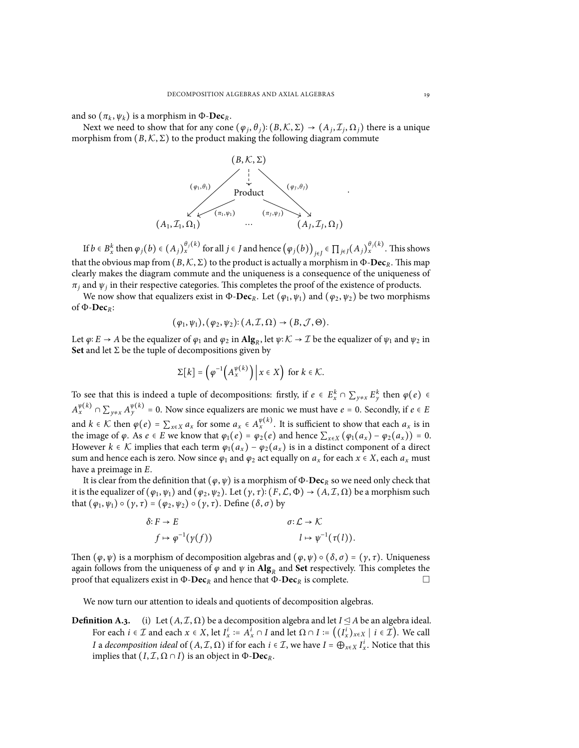and so  $(\pi_k, \psi_k)$  is a morphism in  $\Phi$ -**Dec**<sub>*R*</sub>.

Next we need to show that for any cone  $(\varphi_j, \theta_j)$ :  $(B, K, \Sigma) \to (A_j, \mathcal{I}_j, \Omega_j)$  there is a unique morphism from  $(B, K, \Sigma)$  to the product making the following diagram commute



If  $b \in B_x^k$  then  $\varphi_j(b) \in (A_j)_{x}^{\theta_j(k)}$  for all  $j \in J$  and hence  $(\varphi_j(b))_{j \in J} \in \prod_{j \in J} (A_j)_{x}^{\theta_j(k)}$ . This shows that the obvious map from  $(B, K, \Sigma)$  to the product is actually a morphism in Φ-**Dec**<sub>*R*</sub>. This map clearly makes the diagram commute and the uniqueness is a consequence of the uniqueness of  $\pi_j$  and  $\psi_j$  in their respective categories. This completes the proof of the existence of products.

We now show that equalizers exist in Φ-**Dec***R*. Let (*ϕ*<sup>1</sup> , *ψ*1) and (*ϕ*<sup>2</sup> , *ψ*2) be two morphisms of Φ-**Dec***R*:

$$
(\varphi_1,\psi_1), (\varphi_2,\psi_2); (A,\mathcal{I},\Omega) \to (B,\mathcal{J},\Theta).
$$

Let  $\varphi$ : *E* → *A* be the equalizer of  $\varphi_1$  and  $\varphi_2$  in  $\text{Alg}_R$ , let  $\psi$ :  $K \to \mathcal{I}$  be the equalizer of  $\psi_1$  and  $\psi_2$  in **Set** and let  $\Sigma$  be the tuple of decompositions given by

$$
\Sigma[k] = \left(\varphi^{-1}\left(A_x^{\psi(k)}\right)\middle| \, x \in X\right) \text{ for } k \in \mathcal{K}.
$$

To see that this is indeed a tuple of decompositions: firstly, if  $e \in E_x^k \cap \sum_{y \neq x} E_y^k$  then  $\varphi(e) \in E_x^k$  $A_x^{\psi(k)} \cap \sum_{y \neq x} A_y^{\psi(k)} = 0$ . Now since equalizers are monic we must have  $e = 0$ . Secondly, if  $e \in E$ and  $k \in \mathcal{K}$  then  $\varphi(e) = \sum_{x \in X} a_x$  for some  $a_x \in A_x^{\psi(k)}$ . It is sufficient to show that each  $a_x$  is in the image of  $\varphi$ . As  $e \in E$  we know that  $\varphi_1(e) = \varphi_2(e)$  and hence  $\sum_{x \in X} (\varphi_1(a_x) - \varphi_2(a_x)) = 0$ . However  $k \in \mathcal{K}$  implies that each term  $\varphi_1(a_x) - \varphi_2(a_x)$  is in a distinct component of a direct sum and hence each is zero. Now since  $\varphi_1$  and  $\varphi_2$  act equally on  $a_x$  for each  $x \in X$ , each  $a_x$  must have a preimage in *E*.

It is clear from the definition that  $(\varphi, \psi)$  is a morphism of  $\Phi$ -**Dec**<sub>*R*</sub> so we need only check that it is the equalizer of  $(\varphi_1, \psi_1)$  and  $(\varphi_2, \psi_2)$ . Let  $(\gamma, \tau)$ :  $(F, \mathcal{L}, \Phi) \to (A, \mathcal{I}, \Omega)$  be a morphism such that  $(\varphi_1, \psi_1) \circ (\gamma, \tau) = (\varphi_2, \psi_2) \circ (\gamma, \tau)$ . Define  $(\delta, \sigma)$  by

$$
\delta: F \to E \qquad \sigma: \mathcal{L} \to \mathcal{K}
$$

$$
f \mapsto \varphi^{-1}(\gamma(f)) \qquad l \mapsto \psi^{-1}(\tau(l)).
$$

Then  $(\varphi, \psi)$  is a morphism of decomposition algebras and  $(\varphi, \psi) \circ (\delta, \sigma) = (\gamma, \tau)$ . Uniqueness again follows from the uniqueness of  $\varphi$  and  $\psi$  in  $\mathbf{Alg}_R$  and  $\mathbf{Set}$  respectively. This completes the proof that equalizers exist in  $\Phi$ - $\mathbf{Dec}_R$  and hence that  $\Phi$ - $\mathbf{Dec}_R$  is complete.  $\Box$ 

We now turn our attention to ideals and quotients of decomposition algebras.

**Definition A.3.** (i) Let  $(A, \mathcal{I}, \Omega)$  be a decomposition algebra and let  $I \leq A$  be an algebra ideal. For each  $i \in \mathcal{I}$  and each  $x \in X$ , let  $I_x^i := A_x^i \cap I$  and let  $\Omega \cap I := ((I_x^i)_{x \in X} \mid i \in \mathcal{I})$ . We call *I* a *decomposition ideal* of  $(A, \mathcal{I}, \Omega)$  if for each  $i \in \mathcal{I}$ , we have  $I = \bigoplus_{x \in X} I_x^i$ . Notice that this implies that  $(I, \mathcal{I}, \Omega \cap I)$  is an object in  $\Phi$ -**Dec**<sub>*R*</sub>.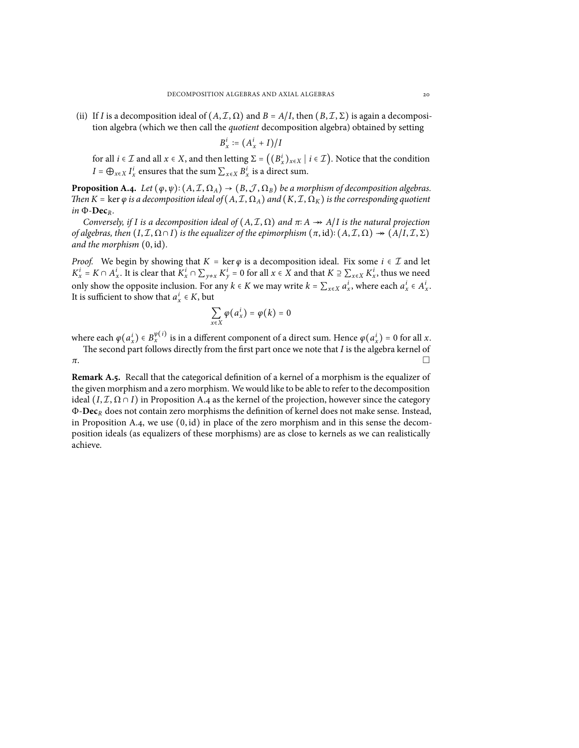(ii) If *I* is a decomposition ideal of  $(A, \mathcal{I}, \Omega)$  and  $B = A/I$ , then  $(B, \mathcal{I}, \Sigma)$  is again a decomposition algebra (which we then call the *quotient* decomposition algebra) obtained by setting

$$
B_x^i := \left(A_x^i + I\right)/I
$$

for all  $i \in \mathcal{I}$  and all  $x \in X$ , and then letting  $\Sigma = ((B_x^i)_{x \in X} \mid i \in \mathcal{I})$ . Notice that the condition *I* =  $\bigoplus_{x \in X} I_x^i$  ensures that the sum  $\sum_{x \in X} B_x^i$  is a direct sum.

<span id="page-19-0"></span>**Proposition A.4.** *Let*  $(\varphi, \psi)$ :  $(A, \mathcal{I}, \Omega_A) \to (B, \mathcal{J}, \Omega_B)$  *be a morphism of decomposition algebras. Then*  $K = \ker \varphi$  *is a decomposition ideal of*  $(A, \mathcal{I}, \Omega_A)$  *and*  $(K, \mathcal{I}, \Omega_K)$  *is the corresponding quotient in* Φ-**Dec***R.*

*Conversely, if I is a decomposition ideal of*  $(A, \mathcal{I}, \Omega)$  *and*  $\pi$ :  $A \rightarrow A/I$  *is the natural projection of algebras, then*  $(I, \mathcal{I}, \Omega \cap I)$  *is the equalizer of the epimorphism*  $(\pi, id)$ :  $(A, \mathcal{I}, \Omega) \rightarrow (A/I, \mathcal{I}, \Sigma)$ *and the morphism* (0, id)*.*

*Proof.* We begin by showing that  $K = \ker \varphi$  is a decomposition ideal. Fix some  $i \in \mathcal{I}$  and let  $K_x^i = K \cap A_x^i$ . It is clear that  $K_x^i \cap \sum_{y \neq x} K_y^i = 0$  for all  $x \in X$  and that  $K \supseteq \sum_{x \in X} K_x^i$ , thus we need only show the opposite inclusion. For any  $k \in K$  we may write  $k = \sum_{x \in X} a_x^i$ , where each  $a_x^i \in A_x^i$ . It is sufficient to show that  $a_x^i \in K$ , but

$$
\sum_{x\in X}\varphi\bigl(a_x^i\bigr)=\varphi\bigl(k\bigr)=0
$$

where each  $\varphi(a_x^i) \in B_x^{\psi(i)}$  is in a different component of a direct sum. Hence  $\varphi(a_x^i) = 0$  for all *x*.

The second part follows directly from the first part once we note that *I* is the algebra kernel of  $\pi$ .

**Remark A.5.** Recall that the categorical definition of a kernel of a morphism is the equalizer of the given morphism and a zero morphism. We would like to be able to refer to the decomposition ideal  $(I, \mathcal{I}, \Omega \cap I)$  in Proposition [A.4](#page-19-0) as the kernel of the projection, however since the category Φ-**Dec***<sup>R</sup>* does not contain zero morphisms the definition of kernel does not make sense. Instead, in Proposition [A.4,](#page-19-0) we use  $(0, id)$  in place of the zero morphism and in this sense the decomposition ideals (as equalizers of these morphisms) are as close to kernels as we can realistically achieve.